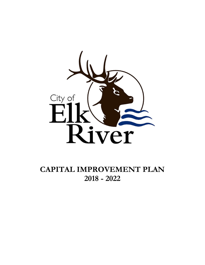

**CAPITAL IMPROVEMENT PLAN 2018 - 2022**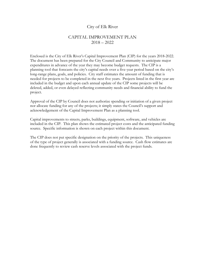#### City of Elk River

#### CAPITAL IMPROVEMENT PLAN 2018 – 2022

Enclosed is the City of Elk River's Capital Improvement Plan (CIP) for the years 2018-2022. The document has been prepared for the City Council and Community to anticipate major expenditures in advance of the year they may become budget requests. The CIP is a planning tool that forecasts the city's capital needs over a five-year period based on the city's long-range plans, goals, and policies. City staff estimates the amount of funding that is needed for projects to be completed in the next five years. Projects listed in the first year are included in the budget and upon each annual update of the CIP some projects will be deleted, added, or even delayed reflecting community needs and financial ability to fund the project.

Approval of the CIP by Council does not authorize spending or initiation of a given project nor allocate funding for any of the projects; it simply states the Council's support and acknowledgement of the Capital Improvement Plan as a planning tool.

Capital improvements to streets, parks, buildings, equipment, software, and vehicles are included in the CIP. This plan shows the estimated project costs and the anticipated funding source. Specific information is shown on each project within this document.

The CIP does not put specific designation on the priority of the projects. This uniqueness of the type of project generally is associated with a funding source. Cash flow estimates are done frequently to review cash reserve levels associated with the project funds.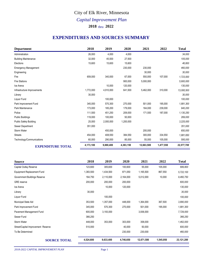# *Capital Improvement Plan* City of Elk River, Minnesota

**2018** thru **2022**

#### **EXPENDITURES AND SOURCES SUMMARY**

| <b>Department</b>             | 2018      | 2019      | 2020      | 2021       | 2022      | <b>Total</b> |
|-------------------------------|-----------|-----------|-----------|------------|-----------|--------------|
| Administration                | 26,000    | 4,000     | 4,000     |            |           | 34,000       |
| <b>Building Maintenance</b>   | 32,000    | 45,500    | 27,500    |            |           | 105,000      |
| Elections                     | 15,600    | 15,600    | 15,600    |            |           | 46,800       |
| <b>Emergency Management</b>   |           |           | 230,000   | 230,000    |           | 460,000      |
| Engineering                   |           |           |           | 30,000     |           | 30,000       |
| Fire                          | 659,000   | 340,000   | 67.000    | 550.000    | 107,000   | 1,723,000    |
| <b>Fire Stations</b>          |           |           | 900,000   | 5,000,000  |           | 5,900,000    |
| Ice Arena                     |           | 10,000    | 120,000   |            |           | 130,000      |
| Infrastructure Improvements   | 1,772,000 | 4,910,000 | 641,500   | 5,462,000  | 310,000   | 13,095,500   |
| Library                       | 30,000    |           |           |            |           | 30,000       |
| Liguor Fund                   |           | 100,000   |           |            |           | 100,000      |
| Park Improvement Fund         | 345,000   | 570,300   | 270,000   | 501,000    | 195,000   | 1,881,300    |
| Park Maintenance              | 173,000   | 185,200   | 179,000   | 164,000    | 239,000   | 940,200      |
| Police                        | 111,500   | 451,250   | 209,000   | 171,500    | 187,000   | 1,130,250    |
| <b>Public Buildings</b>       | 119,000   | 100,000   | 50,000    |            |           | 269,000      |
| <b>Public Safety Building</b> | 25,000    | 2,000,000 | 1,200,000 |            |           | 3,225,000    |
| Sewer Department              | 351,000   |           |           |            |           | 351,000      |
| Storm Water                   |           | 450,000   |           | 200,000    |           | 650,000      |
| <b>Streets</b>                | 454,000   | 408,550   | 384,550   | 300,000    | 334,550   | 1,881,650    |
| Technology/Communications     | 60,000    | 290,000   | 85,000    | 55,000     | 105,000   | 595,000      |
| <b>EXPENDITURE TOTAL</b>      | 4,173,100 | 9,880,400 | 4,383,150 | 12,663,500 | 1,477,550 | 32,577,700   |

| <b>Source</b>                      | 2018      | 2019      | 2020      | 2021       | 2022      | <b>Total</b> |
|------------------------------------|-----------|-----------|-----------|------------|-----------|--------------|
| Capital Outlay Reserve             | 123,600   | 305,600   | 100,600   | 55,000     | 105,000   | 689,800      |
| <b>Equipment Replacement Fund</b>  | 1,383,500 | 1,434,500 | 871,050   | 1,165,500  | 867,550   | 5,722,100    |
| Government Buildings Reserve       | 164,750   | 2,110,000 | 2,164,000 | 5,012,000  | 10,000    | 9,460,750    |
| <b>GRE</b> reserve                 | 200,000   | 200,000   | 200,000   |            |           | 600,000      |
| Ice Arena                          |           | 10,000    | 120,000   |            |           | 130,000      |
| Library                            | 30,000    |           |           |            |           | 30,000       |
| Liquor Fund                        |           | 100,000   |           |            |           | 100,000      |
| Municipal State Aid                | 353,500   | 1,357,000 | 448,000   | 1,364,000  | 367,500   | 3,890,000    |
| Park Improvement Fund              | 345,000   | 570,300   | 270,000   | 501,000    | 195,000   | 1,881,300    |
| Pavement Management Fund           | 600,000   | 3,193,000 |           | 3,936,000  |           | 7,729,000    |
| Sewer Fund                         | 366,250   |           |           |            |           | 366,250      |
| Storm Water                        | 448,000   | 353,000   | 303,000   | 358,000    |           | 1,462,000    |
| Street/Capital Improvement Reserve | 510,000   |           | 40,000    | 50,000     |           | 600,000      |
| To Be Determined                   |           |           | 230,000   | 230,000    |           | 460,000      |
| <b>SOURCE TOTAL</b>                | 4,524,600 | 9,633,400 | 4,746,650 | 12,671,500 | 1,545,050 | 33,121,200   |

*2018-2022 CAPITAL IMPROVEMENT PLAN* Page 1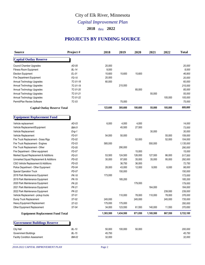## City of Elk River, Minnesota

#### *Capital Improvement Plan*

**2018** thru **2022**

#### **PROJECTS BY FUNDING SOURCE**

| Source                                  | Project#     | 2018      | 2019      | 2020    | 2021      | 2022    | <b>Total</b> |
|-----------------------------------------|--------------|-----------|-----------|---------|-----------|---------|--------------|
| <b>Capital Outlay Reserve</b>           |              |           |           |         |           |         |              |
| Council Chamber Upgrades                | $AD-05$      | 20,000    |           |         |           |         | 20,000       |
| Fitness Room Equipment                  | <b>BL-14</b> | 8,000     |           |         |           |         | 8,000        |
| <b>Election Equipment</b>               | $EL-01$      | 15,600    | 15,600    | 15,600  |           |         | 46,800       |
| Fire Department Equipment               | FD-10        | 20,000    |           |         |           |         | 20,000       |
| Annual Technology Upgrades              | TC-01-18     | 60,000    |           |         |           |         | 60,000       |
| Annual Technology Upgrades              | TC-01-19     |           | 215,000   |         |           |         | 215,000      |
| Annual Technology Upgrades              | TC-01-20     |           |           | 85,000  |           |         | 85,000       |
| <b>Annual Technology Upgrades</b>       | TC-01-21     |           |           |         | 55,000    |         | 55,000       |
| Annual Technology Upgrades              | TC-01-22     |           |           |         |           | 105,000 | 105,000      |
| Permit/Plan Review Software             | $TC-03$      |           | 75,000    |         |           |         | 75,000       |
| <b>Capital Outlay Reserve Total</b>     |              | 123,600   | 305,600   | 100,600 | 55,000    | 105,000 | 689,800      |
| <b>Equipment Replacement Fund</b>       |              |           |           |         |           |         |              |
|                                         |              |           |           |         |           |         |              |
| Vehicle replacement                     | $AD-03$      | 6,000     | 4,000     | 4,000   |           |         | 14,000       |
| Vehicle Replacement/Equipment           | <b>BM-01</b> |           | 45,500    | 27,500  |           |         | 73,000       |
| Vehicle Replacement                     | $Eng-1$      |           |           |         | 30,000    |         | 30,000       |
| Vehicle Replacement                     | FD-01        | 54,000    | 50,000    |         |           | 55,000  | 159,000      |
| Fire Truck Replacement - Grass Rigs     | FD-02        |           |           | 52,000  |           | 52,000  | 104,000      |
| Fire Truck Replacement - Engines        | $FD-03$      | 585,000   |           |         | 550,000   |         | 1,135,000    |
| Fire Truck Replacement - Other          | $FD-05$      |           | 290,000   |         |           |         | 290,000      |
| Fire Department - Other equipment       | FD-07        |           |           | 15,000  |           |         | 15,000       |
| Marked Squad Replacement & Additions    | PD-01        | 53,500    | 124,500   | 126,000 | 127,500   | 86,000  | 517,500      |
| Unmarked Squad Replacement & Additions  | PD-02        | 30,000    | 97,000    | 35,000  | 35,000    | 95,000  | 292,000      |
| CSO Vehicle Replacement & Additions     | $PD-03$      |           | 36,750    | 36,000  |           |         | 72,750       |
| Police Department - Other Equipment     | PD-04        | 28,000    | 43,000    | 12,000  | 9,000     | 6,000   | 98,000       |
| Special Operation Truck                 | PD-07        |           | 150,000   |         |           |         | 150,000      |
| 2018 Park Maintenance Equipment         | PK-18        | 173,000   |           |         |           |         | 173,000      |
| 2019 Park Maintenance Equipment         | PK-19        |           | 185,200   |         |           |         | 185,200      |
| 2020 Park Maintenance Equipment         | <b>PK-20</b> |           |           | 179,000 |           |         | 179,000      |
| 2021 Park Maintenance Equipment         | <b>PK-21</b> |           |           |         | 164,000   |         | 164,000      |
| 2022 Park Maintenance Equipment         | <b>PK-22</b> |           |           |         |           | 239,000 | 239,000      |
| Vehicle Replacement - pickup trucks     | ST-01        |           | 110,000   | 78,000  | 110,000   | 78,000  | 376,000      |
| Dump Truck Replacement                  | ST-02        | 245,000   |           | 245,000 |           | 245,000 | 735,000      |
| Heavy Equipment Replacement             | $ST-03$      | 175,000   | 175,000   |         |           |         | 350,000      |
| Other Equipment Replacement             | ST-04        | 34,000    | 123,550   | 61,550  | 140,000   | 11,550  | 370,650      |
| <b>Equipment Replacement Fund Total</b> |              | 1,383,500 | 1,434,500 | 871,050 | 1,165,500 | 867,550 | 5,722,100    |
| <b>Government Buildings Reserve</b>     |              |           |           |         |           |         |              |
| City Hall                               | <b>BL-10</b> | 50,000    | 100,000   | 50,000  |           |         | 200,000      |
| Government Buildings                    | $BL-15$      | 45,750    |           |         |           |         | 45,750       |
| <b>Facility Condition Assessment</b>    | <b>BM-02</b> | 32,000    |           |         |           |         | 32,000       |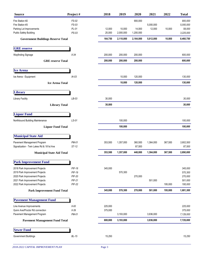| <b>Source</b>                             | Project#                 | 2018    | 2019      | 2020      | 2021      | 2022    | <b>Total</b> |
|-------------------------------------------|--------------------------|---------|-----------|-----------|-----------|---------|--------------|
| Fire Station #2                           | FS-02                    |         |           | 900,000   |           |         | 900,000      |
| Fire Station #3                           | FS-03                    |         |           |           | 5,000,000 |         | 5,000,000    |
| Parking Lot Improvements                  | $PL-01$                  | 12,000  | 10,000    | 14,000    | 12,000    | 10,000  | 58,000       |
| <b>Public Safety Building</b>             | $PS-03$                  | 25,000  | 2,000,000 | 1,200,000 |           |         | 3,225,000    |
| <b>Government Buildings Reserve Total</b> |                          | 164,750 | 2,110,000 | 2,164,000 | 5,012,000 | 10,000  | 9,460,750    |
| <b>GRE</b> reserve                        |                          |         |           |           |           |         |              |
| Wayfinding Signage                        | $II-34$                  | 200,000 | 200,000   | 200,000   |           |         | 600,000      |
|                                           | <b>GRE</b> reserve Total | 200,000 | 200,000   | 200,000   |           |         | 600,000      |
| <b>Ice Arena</b>                          |                          |         |           |           |           |         |              |
| Ice Arena - Equipment                     | $IA-03$                  |         | 10,000    | 120,000   |           |         | 130,000      |
|                                           | <b>Ice Arena Total</b>   |         | 10,000    | 120,000   |           |         | 130,000      |
| <b>Library</b>                            |                          |         |           |           |           |         |              |
| <b>Library Facility</b>                   | $LB-03$                  | 30,000  |           |           |           |         | 30,000       |
|                                           | <b>Library Total</b>     | 30,000  |           |           |           |         | 30,000       |
|                                           |                          |         |           |           |           |         |              |
| <b>Liquor Fund</b>                        |                          |         |           |           |           |         |              |
| Northbound Building Maintenance           | LS-01                    |         | 100,000   |           |           |         | 100,000      |
|                                           | <b>Liquor Fund Total</b> |         | 100,000   |           |           |         | 100,000      |
| <b>Municipal State Aid</b>                |                          |         |           |           |           |         |              |
| Pavement Management Program               | PM-01                    | 353,500 | 1,357,000 | 360,500   | 1,364,000 | 367,500 | 3,802,500    |
| Signalization - Twin Lakes Rd & 181st Ave | $ST-12$                  |         |           | 87,500    |           |         | 87,500       |
| <b>Municipal State Aid Total</b>          |                          | 353,500 | 1,357,000 | 448,000   | 1,364,000 | 367,500 | 3,890,000    |
| <b>Park Improvement Fund</b>              |                          |         |           |           |           |         |              |
| 2018 Park Improvement Projects            | <b>PIF-18</b>            | 345,000 |           |           |           |         | 345,000      |
| 2019 Park Improvement Projects            | PIF-19                   |         | 570,300   |           |           |         | 570,300      |
| 2020 Park Improvement Projects            | <b>PIF-20</b>            |         |           | 270,000   |           |         | 270,000      |
| 2021 Park Improvement Projects            | <b>PIF-21</b>            |         |           |           | 501,000   |         | 501,000      |
| 2022 Park Improvement Projects            | $PIF-22$                 |         |           |           |           | 195,000 | 195,000      |
| <b>Park Improvement Fund Total</b>        |                          | 345,000 | 570,300   | 270,000   | 501,000   | 195,000 | 1,881,300    |
| <b>Pavement Management Fund</b>           |                          |         |           |           |           |         |              |
| Line Avenue Improvements                  | $II-00$                  | 225,000 |           |           |           |         | 225,000      |
| Quinn Ave/Proctor Rd connection           | $II-39$                  | 375,000 |           |           |           |         | 375,000      |
| Pavement Management Program               | PM-01                    |         | 3,193,000 |           | 3,936,000 |         | 7,129,000    |
| <b>Pavement Management Fund Total</b>     |                          | 600,000 | 3,193,000 |           | 3,936,000 |         | 7,729,000    |
| <b>Sewer Fund</b>                         |                          |         |           |           |           |         |              |
| Government Buildings                      | $BL-15$                  | 15,250  |           |           |           |         | 15,250       |
|                                           |                          |         |           |           |           |         |              |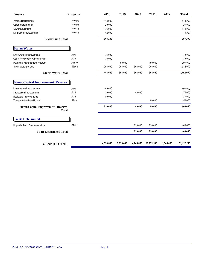| <b>Source</b>                             | Project #    | 2018      | 2019      | 2020      | 2021       | 2022      | <b>Total</b> |
|-------------------------------------------|--------------|-----------|-----------|-----------|------------|-----------|--------------|
| Vehicle Replacement                       | WW-06        | 113,000   |           |           |            |           | 113,000      |
| Other Improvements                        | WW-08        | 20,000    |           |           |            |           | 20,000       |
| Sewer Equipment                           | WW-12        | 176,000   |           |           |            |           | 176,000      |
| <b>Lift Station Improvements</b>          | WW-19        | 42,000    |           |           |            |           | 42,000       |
| <b>Sewer Fund Total</b>                   |              | 366,250   |           |           |            |           | 366,250      |
| <b>Storm Water</b>                        |              |           |           |           |            |           |              |
| Line Avenue Improvements                  | $II-00$      | 75,000    |           |           |            |           | 75,000       |
| Quinn Ave/Proctor Rd connection           | $II-39$      | 75,000    |           |           |            |           | 75,000       |
| Pavement Management Program               | PM-01        |           | 150,000   |           | 150,000    |           | 300,000      |
| Storm Water projects                      | STM-1        | 298,000   | 203,000   | 303,000   | 208,000    |           | 1,012,000    |
| <b>Storm Water Total</b>                  |              | 448,000   | 353,000   | 303,000   | 358,000    |           | 1,462,000    |
| <b>Street/Capital Improvement Reserve</b> |              |           |           |           |            |           |              |
| Line Avenue Improvements                  | $II-00$      | 400,000   |           |           |            |           | 400,000      |
| Intersection Improvements                 | $II-33$      | 30,000    |           | 40,000    |            |           | 70,000       |
| <b>Boulevard Improvements</b>             | $II-35$      | 80,000    |           |           |            |           | 80,000       |
| <b>Transportation Plan Update</b>         | $ST-14$      |           |           |           | 50,000     |           | 50,000       |
| <b>Street/Capital Improvement Reserve</b> | <b>Total</b> | 510,000   |           | 40,000    | 50,000     |           | 600,000      |
| <b>To Be Determined</b>                   |              |           |           |           |            |           |              |
| <b>Upgrade Radio Communications</b>       | $EP-02$      |           |           | 230,000   | 230,000    |           | 460,000      |
| <b>To Be Determined Total</b>             |              |           |           | 230,000   | 230,000    |           | 460,000      |
|                                           |              |           |           |           |            |           |              |
| <b>GRAND TOTAL</b>                        |              | 4,524,600 | 9,633,400 | 4,746,650 | 12,671,500 | 1,545,050 | 33,121,200   |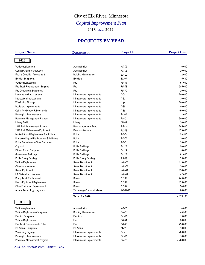# *Capital Improvement Plan* City of Elk River, Minnesota

**2018** thru **2022**

#### **PROJECTS BY YEAR**

| <b>Project Name</b>                    | <b>Department</b>           | Project#      | <b>Project Cost</b> |  |
|----------------------------------------|-----------------------------|---------------|---------------------|--|
| 2018                                   |                             |               |                     |  |
| Vehicle replacement                    | Administration              | $AD-03$       | 6,000               |  |
| <b>Council Chamber Upgrades</b>        | Administration              | $AD-05$       | 20,000              |  |
| <b>Facility Condition Assessment</b>   | <b>Building Maintenance</b> | <b>BM-02</b>  | 32,000              |  |
| <b>Election Equipment</b>              | Elections                   | $EL-01$       | 15,600              |  |
| Vehicle Replacement                    | Fire                        | FD-01         | 54,000              |  |
| Fire Truck Replacement - Engines       | Fire                        | FD-03         | 585,000             |  |
| Fire Department Equipment              | Fire                        | FD-10         | 20,000              |  |
| Line Avenue Improvements               | Infrastructure Improvements | $II-00$       | 700,000             |  |
| Intersection Improvements              | Infrastructure Improvements | $II-33$       | 30,000              |  |
| <b>Wayfinding Signage</b>              | Infrastructure Improvements | $II-34$       | 200,000             |  |
| <b>Boulevard Improvements</b>          | Infrastructure Improvements | $II-35$       | 80,000              |  |
| Quinn Ave/Proctor Rd connection        | Infrastructure Improvements | $II-39$       | 450,000             |  |
| Parking Lot Improvements               | Infrastructure Improvements | $PL-01$       | 12,000              |  |
| Pavement Management Program            | Infrastructure Improvements | <b>PM-01</b>  | 300,000             |  |
| <b>Library Facility</b>                | Library                     | $LB-03$       | 30,000              |  |
| 2018 Park Improvement Projects         | Park Improvement Fund       | <b>PIF-18</b> | 345,000             |  |
| 2018 Park Maintenance Equipment        | Park Maintenance            | PK-18         | 173,000             |  |
| Marked Squad Replacement & Additions   | Police                      | PD-01         | 53,500              |  |
| Unmarked Squad Replacement & Additions | Police                      | $PD-02$       | 30,000              |  |
| Police Department - Other Equipment    | Police                      | $PD-04$       | 28,000              |  |
| City Hall                              | <b>Public Buildings</b>     | $BL-10$       | 50,000              |  |
| Fitness Room Equipment                 | <b>Public Buildings</b>     | $BL-14$       | 8,000               |  |
| Government Buildings                   | <b>Public Buildings</b>     | $BL-15$       | 61,000              |  |
| <b>Public Safety Building</b>          | Public Safety Building      | PS-03         | 25,000              |  |
| Vehicle Replacement                    | Sewer Department            | WW-06         | 113,000             |  |
| Other Improvements                     | Sewer Department            | WW-08         | 20,000              |  |
| Sewer Equipment                        | Sewer Department            | WW-12         | 176,000             |  |
| <b>Lift Station Improvements</b>       | Sewer Department            | WW-19         | 42,000              |  |
| Dump Truck Replacement                 | <b>Streets</b>              | ST-02         | 245,000             |  |
| Heavy Equipment Replacement            | <b>Streets</b>              | $ST-03$       | 175,000             |  |
| Other Equipment Replacement            | <b>Streets</b>              | ST-04         | 34,000              |  |
| Annual Technology Upgrades             | Technology/Communications   | TC-01-18      | 60,000              |  |
|                                        | Total for 2018              |               | 4,173,100           |  |
| 2019                                   |                             |               |                     |  |
| Vehicle replacement                    | Administration              | $AD-03$       | 4,000               |  |
| Vehicle Replacement/Equipment          | <b>Building Maintenance</b> | <b>BM-01</b>  | 45,500              |  |
| <b>Election Equipment</b>              | Elections                   | $EL-01$       | 15,600              |  |
| Vehicle Replacement                    | Fire                        | FD-01         | 50,000              |  |
| Fire Truck Replacement - Other         | Fire                        | FD-05         | 290,000             |  |
| Ice Arena - Equipment                  | Ice Arena                   | $IA-03$       | 10,000              |  |
| Wayfinding Signage                     | Infrastructure Improvements | $II-34$       | 200,000             |  |
| Parking Lot Improvements               | Infrastructure Improvements | $PL-01$       | 10,000              |  |
| Pavement Management Program            | Infrastructure Improvements | PM-01         | 4,700,000           |  |
|                                        |                             |               |                     |  |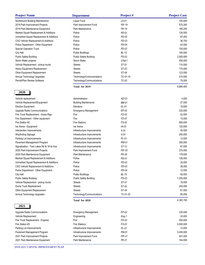| <b>Project Name</b>                       | <b>Department</b>             | Project#      | <b>Project Cost</b> |  |  |
|-------------------------------------------|-------------------------------|---------------|---------------------|--|--|
| Northbound Building Maintenance           | Liquor Fund                   | LS-01         | 100,000             |  |  |
| 2019 Park Improvement Projects            | Park Improvement Fund         | <b>PIF-19</b> | 570,300             |  |  |
| 2019 Park Maintenance Equipment           | Park Maintenance              | PK-19         | 185,200             |  |  |
| Marked Squad Replacement & Additions      | Police                        | PD-01         | 124,500             |  |  |
| Unmarked Squad Replacement & Additions    | Police                        | $PD-02$       | 97,000              |  |  |
| CSO Vehicle Replacement & Additions       | Police                        | $PD-03$       | 36,750              |  |  |
| Police Department - Other Equipment       | Police                        | PD-04         | 43,000              |  |  |
| Special Operation Truck                   | Police                        | PD-07         | 150,000             |  |  |
| City Hall                                 | <b>Public Buildings</b>       | $BL-10$       | 100,000             |  |  |
| Public Safety Building                    | <b>Public Safety Building</b> | $PS-03$       | 2,000,000           |  |  |
| Storm Water projects                      | Storm Water                   | STM-1         | 450,000             |  |  |
| Vehicle Replacement - pickup trucks       | <b>Streets</b>                | ST-01         | 110,000             |  |  |
| Heavy Equipment Replacement               | Streets                       | ST-03         | 175,000             |  |  |
| Other Equipment Replacement               | <b>Streets</b>                | ST-04         | 123,550             |  |  |
| Annual Technology Upgrades                | Technology/Communications     | TC-01-19      | 215,000             |  |  |
| Permit/Plan Review Software               | Technology/Communications     | TC-03         | 75,000              |  |  |
|                                           | Total for 2019                |               | 9,880,400           |  |  |
| 2020                                      |                               |               |                     |  |  |
| Vehicle replacement                       | Administration                | $AD-03$       | 4,000               |  |  |
| Vehicle Replacement/Equipment             | <b>Building Maintenance</b>   | <b>BM-01</b>  | 27,500              |  |  |
| <b>Election Equipment</b>                 | Elections                     | EL-01         | 15,600              |  |  |
| Upgrade Radio Communications              | <b>Emergency Management</b>   | $EP-02$       | 230,000             |  |  |
| Fire Truck Replacement - Grass Rigs       | Fire                          | FD-02         | 52,000              |  |  |
| Fire Department - Other equipment         | Fire                          | FD-07         | 15,000              |  |  |
| Fire Station #2                           | <b>Fire Stations</b>          | FS-02         | 900,000             |  |  |
| Ice Arena - Equipment                     | Ice Arena                     | $IA-03$       | 120,000             |  |  |
| Intersection Improvements                 | Infrastructure Improvements   | $II-33$       | 40,000              |  |  |
| <b>Wayfinding Signage</b>                 | Infrastructure Improvements   | $II-34$       | 200,000             |  |  |
| Parking Lot Improvements                  | Infrastructure Improvements   | PL-01         | 14,000              |  |  |
| Pavement Management Program               | Infrastructure Improvements   | PM-01         | 300,000             |  |  |
| Signalization - Twin Lakes Rd & 181st Ave | Infrastructure Improvements   | ST-12         | 87,500              |  |  |
| 2020 Park Improvement Projects            | Park Improvement Fund         | <b>PIF-20</b> | 270,000             |  |  |
| 2020 Park Maintenance Equipment           | Park Maintenance              | <b>PK-20</b>  | 179,000             |  |  |
| Marked Squad Replacement & Additions      | Police                        | PD-01         | 126,000             |  |  |
| Unmarked Squad Replacement & Additions    | Police                        | PD-02         | 35,000              |  |  |
| CSO Vehicle Replacement & Additions       | Police                        | PD-03         | 36,000              |  |  |
| Police Department - Other Equipment       | Police                        | PD-04         | 12,000              |  |  |
| City Hall                                 | <b>Public Buildings</b>       | $BL-10$       | 50,000              |  |  |
| <b>Public Safety Building</b>             | <b>Public Safety Building</b> | $PS-03$       | 1,200,000           |  |  |
| Vehicle Replacement - pickup trucks       | <b>Streets</b>                | ST-01         | 78,000              |  |  |
| Dump Truck Replacement                    | <b>Streets</b>                | ST-02         | 245,000             |  |  |
| Other Equipment Replacement               | <b>Streets</b>                | ST-04         | 61,550              |  |  |
| Annual Technology Upgrades                | Technology/Communications     | TC-01-20      | 85,000              |  |  |
|                                           | Total for 2020                |               | 4,383,150           |  |  |
| 2021                                      |                               |               |                     |  |  |
| <b>Upgrade Radio Communications</b>       | <b>Emergency Management</b>   | $EP-02$       | 230,000             |  |  |
| Vehicle Replacement                       | Engineering                   | Eng-1         | 30,000              |  |  |
| Fire Truck Replacement - Engines          | Fire                          | $FD-03$       | 550,000             |  |  |
| Fire Station #3                           | <b>Fire Stations</b>          | FS-03         | 5,000,000           |  |  |
| Parking Lot Improvements                  | Infrastructure Improvements   | $PL-01$       | 12,000              |  |  |
| Pavement Management Program               | Infrastructure Improvements   | <b>PM-01</b>  | 5,450,000           |  |  |
| 2021 Park Improvement Projects            | Park Improvement Fund         | <b>PIF-21</b> | 501,000             |  |  |
| 2021 Park Maintenance Equipment           | Park Maintenance              | <b>PK-21</b>  | 164,000             |  |  |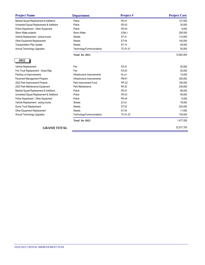| <b>Project Name</b>                    | <b>Department</b>           | Project #     | <b>Project Cost</b> |
|----------------------------------------|-----------------------------|---------------|---------------------|
| Marked Squad Replacement & Additions   | Police                      | PD-01         | 127,500             |
| Unmarked Squad Replacement & Additions | Police                      | $PD-02$       | 35,000              |
| Police Department - Other Equipment    | Police                      | $PD-04$       | 9,000               |
| Storm Water projects                   | <b>Storm Water</b>          | STM-1         | 200,000             |
| Vehicle Replacement - pickup trucks    | <b>Streets</b>              | ST-01         | 110,000             |
| Other Equipment Replacement            | <b>Streets</b>              | ST-04         | 140,000             |
| <b>Transportation Plan Update</b>      | <b>Streets</b>              | ST-14         | 50,000              |
| Annual Technology Upgrades             | Technology/Communications   | TC-01-21      | 55,000              |
|                                        | Total for 2021              |               | 12,663,500          |
| 2022                                   |                             |               |                     |
| Vehicle Replacement                    | Fire                        | FD-01         | 55,000              |
| Fire Truck Replacement - Grass Rigs    | Fire                        | $FD-02$       | 52,000              |
| Parking Lot Improvements               | Infrastructure Improvements | $PL-01$       | 10,000              |
| Pavement Management Program            | Infrastructure Improvements | <b>PM-01</b>  | 300,000             |
| 2022 Park Improvement Projects         | Park Improvement Fund       | <b>PIF-22</b> | 195,000             |
| 2022 Park Maintenance Equipment        | Park Maintenance            | <b>PK-22</b>  | 239,000             |
| Marked Squad Replacement & Additions   | Police                      | $PD-01$       | 86,000              |
| Unmarked Squad Replacement & Additions | Police                      | $PD-02$       | 95,000              |
| Police Department - Other Equipment    | Police                      | $PD-04$       | 6,000               |
| Vehicle Replacement - pickup trucks    | <b>Streets</b>              | ST-01         | 78,000              |
| Dump Truck Replacement                 | <b>Streets</b>              | ST-02         | 245,000             |
| Other Equipment Replacement            | <b>Streets</b>              | ST-04         | 11,550              |
| Annual Technology Upgrades             | Technology/Communications   | TC-01-22      | 105,000             |
|                                        | Total for 2022              |               | 1,477,550           |
| <b>GRAND TOTAL</b>                     | 32,577,700                  |               |                     |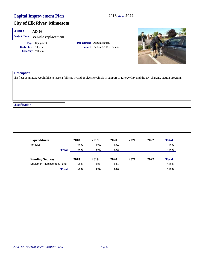| Project#<br><b>Project Name</b> | $AD-03$<br>Vehicle replacement      |                                                             |                                                                                                                                               |
|---------------------------------|-------------------------------------|-------------------------------------------------------------|-----------------------------------------------------------------------------------------------------------------------------------------------|
| <b>Useful Life</b> 10 years     | Type Equipment<br>Category Vehicles | Department Administration<br>Contact Building & Env. Admin. |                                                                                                                                               |
| <b>Description</b>              |                                     |                                                             | The fleet committee would like to lease a full size hybrid or electric vehicle in support of Energy City and the EV charging station program. |
| <b>Justification</b>            |                                     |                                                             |                                                                                                                                               |
|                                 |                                     |                                                             |                                                                                                                                               |
|                                 |                                     |                                                             |                                                                                                                                               |

| <b>Expenditures</b>        |              | 2018  | 2019  | 2020  | 2021 | 2022 | <b>Total</b> |
|----------------------------|--------------|-------|-------|-------|------|------|--------------|
| Vehicles                   |              | 6.000 | 4.000 | 4.000 |      |      | 14,000       |
|                            | <b>Total</b> | 6.000 | 4.000 | 4.000 |      |      | 14,000       |
| <b>Funding Sources</b>     |              | 2018  | 2019  | 2020  | 2021 | 2022 | <b>Total</b> |
| Equipment Replacement Fund |              | 6.000 | 4.000 | 4.000 |      |      | 14,000       |
|                            | <b>Total</b> | 6.000 | 4.000 | 4.000 |      |      | 14,000       |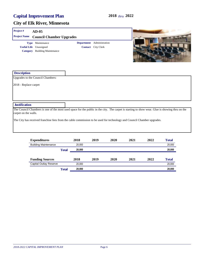| Project#<br>$AD-05$                                                               |                                                                                                                        |                                                        |                                                                                                                                                 |
|-----------------------------------------------------------------------------------|------------------------------------------------------------------------------------------------------------------------|--------------------------------------------------------|-------------------------------------------------------------------------------------------------------------------------------------------------|
| <b>Project Name</b>                                                               | <b>Council Chamber Upgrades</b>                                                                                        |                                                        |                                                                                                                                                 |
| Maintenance<br><b>Type</b><br><b>Useful Life</b><br>Unassigned<br><b>Category</b> | <b>Building Maintenance</b>                                                                                            | Department Administration<br><b>Contact</b> City Clerk |                                                                                                                                                 |
| <b>Description</b>                                                                |                                                                                                                        |                                                        |                                                                                                                                                 |
| Upgrades to the Council Chambers:                                                 |                                                                                                                        |                                                        |                                                                                                                                                 |
| 2018 - Replace carpet                                                             |                                                                                                                        |                                                        |                                                                                                                                                 |
| <b>Justification</b>                                                              |                                                                                                                        |                                                        |                                                                                                                                                 |
| carpet on the walls.                                                              |                                                                                                                        |                                                        | The Council Chambers is one of the most used space for the public in the city. The carpet is starting to show wear. Glue is showing thru on the |
|                                                                                   | The City has received franchise fees from the cable commission to be used for technology and Council Chamber upgrades. |                                                        |                                                                                                                                                 |

| <b>Expenditures</b>           |              | 2018   | 2019 | 2020 | 2021 | 2022 | <b>Total</b> |
|-------------------------------|--------------|--------|------|------|------|------|--------------|
| <b>Building Maintenance</b>   |              | 20.000 |      |      |      |      | 20,000       |
|                               | <b>Total</b> | 20,000 |      |      |      |      | 20,000       |
| <b>Funding Sources</b>        |              | 2018   | 2019 | 2020 | 2021 | 2022 | <b>Total</b> |
| <b>Capital Outlay Reserve</b> |              | 20.000 |      |      |      |      | 20,000       |
|                               | Total        | 20,000 |      |      |      |      | 20,000       |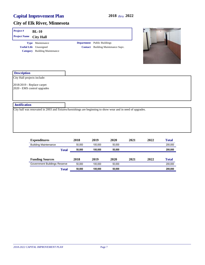

| <b>Expenditures</b>          | 2018   | 2019    | 2020   | 2021 | 2022 | <b>Total</b> |
|------------------------------|--------|---------|--------|------|------|--------------|
| <b>Building Maintenance</b>  | 50.000 | 100.000 | 50.000 |      |      | 200,000      |
| <b>Total</b>                 | 50.000 | 100.000 | 50,000 |      |      | 200,000      |
| <b>Funding Sources</b>       | 2018   | 2019    | 2020   | 2021 | 2022 | <b>Total</b> |
| Government Buildings Reserve | 50.000 | 100.000 | 50.000 |      |      | 200,000      |
| <b>Total</b>                 | 50.000 | 100.000 | 50,000 |      |      | 200,000      |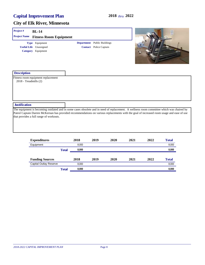| Project#              | <b>BL-14</b>                                                          |              |       |                                                                     |      |      |      |                                                                                                                                                                                                                                                                                       |
|-----------------------|-----------------------------------------------------------------------|--------------|-------|---------------------------------------------------------------------|------|------|------|---------------------------------------------------------------------------------------------------------------------------------------------------------------------------------------------------------------------------------------------------------------------------------------|
| <b>Project Name</b>   | <b>Fitness Room Equipment</b>                                         |              |       |                                                                     |      |      |      |                                                                                                                                                                                                                                                                                       |
|                       | Type Equipment<br><b>Useful Life</b> Unassigned<br>Category Equipment |              |       | <b>Department</b> Public Buildings<br><b>Contact</b> Police Captain |      |      |      |                                                                                                                                                                                                                                                                                       |
| <b>Description</b>    |                                                                       |              |       |                                                                     |      |      |      |                                                                                                                                                                                                                                                                                       |
| 2018 - Treadmills (2) | Fitness room equipment replacement                                    |              |       |                                                                     |      |      |      |                                                                                                                                                                                                                                                                                       |
| <b>Justification</b>  |                                                                       |              |       |                                                                     |      |      |      |                                                                                                                                                                                                                                                                                       |
|                       | that provides a full range of workouts.                               |              |       |                                                                     |      |      |      | The equipment is becoming outdated and in some cases obsolete and in need of replacement. A wellness room committee which was chaired by<br>Patrol Captain Darren McKernan has provided recommendations on various replacements with the goal of increased room usage and ease of use |
|                       | <b>Expenditures</b>                                                   |              | 2018  | 2019                                                                | 2020 | 2021 | 2022 | <b>Total</b>                                                                                                                                                                                                                                                                          |
|                       | Equipment                                                             |              | 8,000 |                                                                     |      |      |      | 8,000                                                                                                                                                                                                                                                                                 |
|                       |                                                                       | <b>Total</b> | 8,000 |                                                                     |      |      |      | 8,000                                                                                                                                                                                                                                                                                 |
|                       | <b>Funding Sources</b>                                                |              | 2018  | 2019                                                                | 2020 | 2021 | 2022 | <b>Total</b>                                                                                                                                                                                                                                                                          |

|       |       |                                       | $\overline{ }$ | 1 vuu |
|-------|-------|---------------------------------------|----------------|-------|
|       | 8.000 |                                       |                | 8.000 |
| Total | 8.000 |                                       |                | 8.000 |
|       |       | $\rightarrow \rightarrow \rightarrow$ | - - -          | ----  |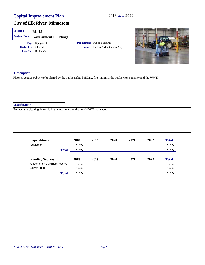| Project#             | <b>BL-15</b>                                                               |                                                                                                                           |  |
|----------------------|----------------------------------------------------------------------------|---------------------------------------------------------------------------------------------------------------------------|--|
| <b>Project Name</b>  | <b>Government Buildings</b>                                                |                                                                                                                           |  |
|                      | Type Equipment<br><b>Useful Life</b> 20 years<br><b>Category</b> Buildings | <b>Department</b> Public Buildings<br><b>Contact</b> Building Maintenance Supv.                                           |  |
| <b>Description</b>   |                                                                            | Floor sweeper/scrubber to be shared by the public safety building, fire station 1, the public works facility and the WWTP |  |
|                      |                                                                            |                                                                                                                           |  |
| <b>Justification</b> |                                                                            |                                                                                                                           |  |
|                      | To meet the cleaning demands in the locations and the new WWTP as needed   |                                                                                                                           |  |

| <b>Expenditures</b>          | 2018   | 2019 | 2020 | 2021 | 2022 | <b>Total</b> |
|------------------------------|--------|------|------|------|------|--------------|
| Equipment                    | 61,000 |      |      |      |      | 61,000       |
| <b>Total</b>                 | 61,000 |      |      |      |      | 61,000       |
|                              |        |      |      |      |      |              |
| <b>Funding Sources</b>       | 2018   | 2019 | 2020 | 2021 | 2022 | <b>Total</b> |
| Government Buildings Reserve | 45,750 |      |      |      |      | 45,750       |
| Sewer Fund                   | 15.250 |      |      |      |      | 15,250       |
| <b>Total</b>                 | 61,000 |      |      |      |      | 61,000       |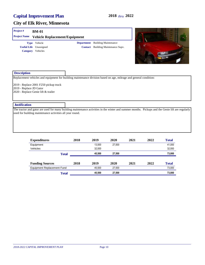#### **City of Elk River, Minnesota**

#### **Project # BM-01**

| <b>Project Name</b> |                               | <b>Vehicle Replacement/Equipment</b> |                                           |
|---------------------|-------------------------------|--------------------------------------|-------------------------------------------|
|                     | <b>Type</b> Vehicle           |                                      | <b>Department</b> Building Maintenance    |
|                     | <b>Useful Life</b> Unassigned |                                      | <b>Contact</b> Building Maintenance Supv. |
|                     | Category Vehicles             |                                      |                                           |



#### **Description**

Replacement vehicles and equipment for building maintenance division based on age, mileage and general condition:

2019 - Replace 2001 F250 pickup truck 2019 - Replace JD Gator 2020 - Replace Genie lift & trailer

#### **Justification**

The tractor and gator are used for many building maintenance activities in the winter and summer months. Pickups and the Genie lift are regularly used for building maintenance activities all year round.

| <b>Expenditures</b>               | 2018 | 2019   | 2020   | 2021 | 2022 | <b>Total</b> |
|-----------------------------------|------|--------|--------|------|------|--------------|
| Equipment                         |      | 13.500 | 27,500 |      |      | 41,000       |
| Vehicles                          |      | 32.000 |        |      |      | 32,000       |
| <b>Total</b>                      |      | 45.500 | 27.500 |      |      | 73,000       |
|                                   |      |        |        |      |      |              |
| <b>Funding Sources</b>            | 2018 | 2019   | 2020   | 2021 | 2022 | <b>Total</b> |
| <b>Equipment Replacement Fund</b> |      | 45.500 | 27,500 |      |      | 73,000       |
| <b>Total</b>                      |      | 45.500 | 27,500 |      |      | 73,000       |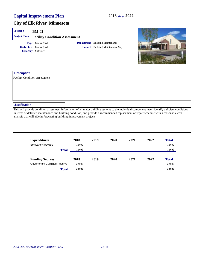| Project#             | <b>BM-02</b>                                                                                                                                                                                                                                                                                  |                   |                                           |      |      |      |              |
|----------------------|-----------------------------------------------------------------------------------------------------------------------------------------------------------------------------------------------------------------------------------------------------------------------------------------------|-------------------|-------------------------------------------|------|------|------|--------------|
| <b>Project Name</b>  | <b>Facility Condition Assessment</b>                                                                                                                                                                                                                                                          |                   |                                           |      |      |      |              |
|                      | Type Unassigned                                                                                                                                                                                                                                                                               | <b>Department</b> | <b>Building Maintenance</b>               |      |      |      |              |
|                      | <b>Useful Life</b> Unassigned                                                                                                                                                                                                                                                                 |                   | <b>Contact</b> Building Maintenance Supv. |      |      |      |              |
|                      | Category Software                                                                                                                                                                                                                                                                             |                   |                                           |      |      |      |              |
| <b>Description</b>   |                                                                                                                                                                                                                                                                                               |                   |                                           |      |      |      |              |
|                      |                                                                                                                                                                                                                                                                                               |                   |                                           |      |      |      |              |
|                      | <b>Facility Condition Assessment</b>                                                                                                                                                                                                                                                          |                   |                                           |      |      |      |              |
|                      |                                                                                                                                                                                                                                                                                               |                   |                                           |      |      |      |              |
|                      |                                                                                                                                                                                                                                                                                               |                   |                                           |      |      |      |              |
|                      |                                                                                                                                                                                                                                                                                               |                   |                                           |      |      |      |              |
|                      |                                                                                                                                                                                                                                                                                               |                   |                                           |      |      |      |              |
|                      |                                                                                                                                                                                                                                                                                               |                   |                                           |      |      |      |              |
|                      |                                                                                                                                                                                                                                                                                               |                   |                                           |      |      |      |              |
|                      |                                                                                                                                                                                                                                                                                               |                   |                                           |      |      |      |              |
|                      |                                                                                                                                                                                                                                                                                               |                   |                                           |      |      |      |              |
|                      | This will provide condition assessment information of all major building systems to the individual component level, identify deficient conditions<br>in terms of deferred maintenance and building condition, and provide a recommended replacement or repair schedule with a reasonable cost |                   |                                           |      |      |      |              |
|                      | analysis that will aide in forecasting buildiing improvement projects.                                                                                                                                                                                                                        |                   |                                           |      |      |      |              |
|                      |                                                                                                                                                                                                                                                                                               |                   |                                           |      |      |      |              |
|                      |                                                                                                                                                                                                                                                                                               |                   |                                           |      |      |      |              |
|                      |                                                                                                                                                                                                                                                                                               |                   |                                           |      |      |      |              |
|                      |                                                                                                                                                                                                                                                                                               |                   |                                           |      |      |      |              |
|                      |                                                                                                                                                                                                                                                                                               |                   |                                           |      |      |      |              |
|                      | <b>Expenditures</b>                                                                                                                                                                                                                                                                           | 2018              | 2019                                      | 2020 | 2021 | 2022 | <b>Total</b> |
| <b>Justification</b> | Software/Hardware                                                                                                                                                                                                                                                                             | 32,000            |                                           |      |      |      | 32,000       |

| <b>Funding Sources</b>       | 2018   | 2019 | 2020 | 2021 | 2022 | Total  |
|------------------------------|--------|------|------|------|------|--------|
| Government Buildings Reserve | 32.000 |      |      |      |      | 32.000 |
| Total                        | 32,000 |      |      |      |      | 32,000 |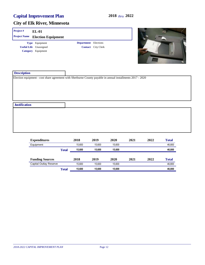| Project#             | $EL-01$                       |                             |                                                                                                            |  |
|----------------------|-------------------------------|-----------------------------|------------------------------------------------------------------------------------------------------------|--|
| <b>Project Name</b>  | <b>Election Equipment</b>     |                             |                                                                                                            |  |
|                      | Type Equipment                | <b>Department</b> Elections |                                                                                                            |  |
|                      | <b>Useful Life</b> Unassigned |                             | <b>Contact</b> City Clerk                                                                                  |  |
|                      | Category Equipment            |                             |                                                                                                            |  |
| <b>Description</b>   |                               |                             |                                                                                                            |  |
|                      |                               |                             | Election equipment - cost share agreement with Sherburne County payable in annual installments 2017 - 2020 |  |
| <b>Justification</b> |                               |                             |                                                                                                            |  |
|                      |                               |                             |                                                                                                            |  |

| <b>Expenditures</b>    |              | 2018   | 2019   | 2020   | 2021 | 2022 | <b>Total</b> |
|------------------------|--------------|--------|--------|--------|------|------|--------------|
| Equipment              |              | 15.600 | 15.600 | 15.600 |      |      | 46,800       |
|                        | <b>Total</b> | 15,600 | 15,600 | 15.600 |      |      | 46,800       |
| <b>Funding Sources</b> |              | 2018   | 2019   | 2020   | 2021 | 2022 | <b>Total</b> |
| Capital Outlay Reserve |              | 15.600 | 15.600 | 15.600 |      |      | 46,800       |
|                        | <b>Total</b> | 15,600 | 15,600 | 15.600 |      |      | 46,800       |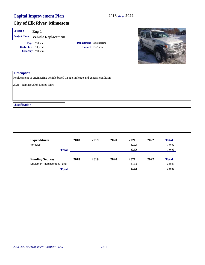| Project#             | Eng-1                                                                           |      |                         |      |      |      |              |
|----------------------|---------------------------------------------------------------------------------|------|-------------------------|------|------|------|--------------|
| <b>Project Name</b>  | <b>Vehicle Replacement</b>                                                      |      |                         |      |      |      |              |
|                      | Type Vehicle                                                                    |      | Department Engineering  |      |      |      |              |
|                      | <b>Useful Life</b> 10 years                                                     |      | <b>Contact</b> Engineer |      |      |      |              |
|                      | Category Vehicles                                                               |      |                         |      |      |      |              |
| <b>Description</b>   |                                                                                 |      |                         |      |      |      |              |
|                      | Replacement of engineering vehicle based on age, mileage and general condition: |      |                         |      |      |      |              |
|                      | 2021 - Replace 2008 Dodge Nitro                                                 |      |                         |      |      |      |              |
| <b>Justification</b> |                                                                                 |      |                         |      |      |      |              |
|                      |                                                                                 |      |                         |      |      |      |              |
|                      |                                                                                 |      |                         |      |      |      |              |
|                      | <b>Expenditures</b>                                                             | 2018 | 2019                    | 2020 | 2021 | 2022 | <b>Total</b> |

| ____________                      |              |      |      |      |        |      |              |
|-----------------------------------|--------------|------|------|------|--------|------|--------------|
| Vehicles                          |              |      |      |      | 30,000 |      | 30,000       |
|                                   | <b>Total</b> |      |      |      | 30,000 |      | 30,000       |
|                                   |              |      |      |      |        |      |              |
| <b>Funding Sources</b>            |              | 2018 | 2019 | 2020 | 2021   | 2022 | <b>Total</b> |
| <b>Equipment Replacement Fund</b> |              |      |      |      | 30.000 |      | 30,000       |
|                                   | Total        |      |      |      | 30,000 |      | 30,000       |
|                                   |              |      |      |      |        |      |              |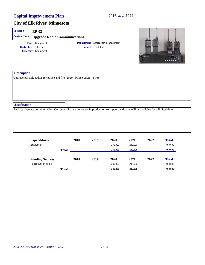| Project#                    | <b>EP-02</b>                                                             |                                        |                                                                                                                                         |
|-----------------------------|--------------------------------------------------------------------------|----------------------------------------|-----------------------------------------------------------------------------------------------------------------------------------------|
| <b>Project Name</b>         | <b>Upgrade Radio Communications</b>                                      |                                        |                                                                                                                                         |
|                             | Type Equipment                                                           | <b>Department</b> Emergency Management |                                                                                                                                         |
| <b>Useful Life</b> 10 years |                                                                          | <b>Contact</b> Fire Chief              |                                                                                                                                         |
|                             | Category Equipment                                                       |                                        | <b>KENWOOD</b>                                                                                                                          |
| <b>Description</b>          |                                                                          |                                        |                                                                                                                                         |
|                             | Upgrade portable radios for police and fire (2020 - Police, 2021 - Fire) |                                        |                                                                                                                                         |
| <b>Justification</b>        |                                                                          |                                        |                                                                                                                                         |
|                             |                                                                          |                                        | Replace obsolete portable radios. Current radios are no longer in production so support and parts will be available for a limited time. |

|              | 2018 | 2019 | 2020    | 2021    | 2022 | <b>Total</b> |
|--------------|------|------|---------|---------|------|--------------|
|              |      |      | 230.000 | 230.000 |      | 460,000      |
| <b>Total</b> |      |      | 230.000 | 230,000 |      | 460,000      |
|              |      |      |         |         |      |              |
|              | 2018 | 2019 | 2020    | 2021    | 2022 | <b>Total</b> |
|              |      |      | 230.000 | 230.000 |      | 460,000      |
|              |      |      |         |         |      |              |
|              |      |      |         |         |      |              |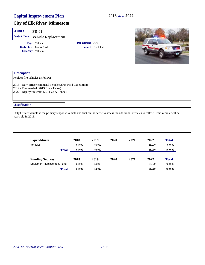| Project#             | <b>FD-01</b>                                                                        |                                                                                                                                                  |                           |      |      |        |              |  |
|----------------------|-------------------------------------------------------------------------------------|--------------------------------------------------------------------------------------------------------------------------------------------------|---------------------------|------|------|--------|--------------|--|
| <b>Project Name</b>  | <b>Vehicle Replacement</b>                                                          |                                                                                                                                                  |                           |      |      |        |              |  |
|                      | Type Vehicle                                                                        | Department Fire                                                                                                                                  |                           |      |      |        |              |  |
|                      | <b>Useful Life</b> Unassigned                                                       |                                                                                                                                                  | <b>Contact</b> Fire Chief |      |      |        |              |  |
|                      | Category Vehicles                                                                   |                                                                                                                                                  |                           |      |      |        |              |  |
| <b>Description</b>   |                                                                                     |                                                                                                                                                  |                           |      |      |        |              |  |
|                      | Replace fire vehicles as follows:                                                   |                                                                                                                                                  |                           |      |      |        |              |  |
|                      | 2019 - Fire marshal (2013 Chev Tahoe)<br>2022 - Deputy fire chief (2011 Chev Tahoe) |                                                                                                                                                  |                           |      |      |        |              |  |
| <b>Justification</b> |                                                                                     |                                                                                                                                                  |                           |      |      |        |              |  |
| vears old in 2018.   |                                                                                     | Duty Officer vehicle is the primary response vehicle and first on the scene to assess the additional vehicles to follow. This vehicle will be 13 |                           |      |      |        |              |  |
|                      | <b>Expenditures</b>                                                                 | 2018                                                                                                                                             | 2019                      | 2020 | 2021 | 2022   | <b>Total</b> |  |
|                      | Vehicles                                                                            | 54,000                                                                                                                                           | 50,000                    |      |      | 55,000 | 159,000      |  |

| Total                      | 54.000 | 50.000 |      |      | 55,000 | 159.000      |
|----------------------------|--------|--------|------|------|--------|--------------|
|                            |        |        |      |      |        |              |
| <b>Funding Sources</b>     | 2018   | 2019   | 2020 | 2021 | 2022   | <b>Total</b> |
| Equipment Replacement Fund | 54.000 | 50.000 |      |      | 55.000 | 159.000      |
| Total                      | 54.000 | 50.000 |      |      | 55,000 | 159,000      |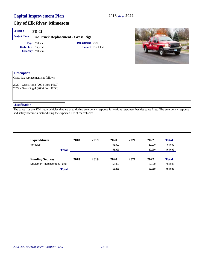| Project#                    | $FD-02$                                                                                                                                         |                        |                           |      |      |      |              |
|-----------------------------|-------------------------------------------------------------------------------------------------------------------------------------------------|------------------------|---------------------------|------|------|------|--------------|
| <b>Project Name</b>         | <b>Fire Truck Replacement - Grass Rigs</b>                                                                                                      |                        |                           |      |      |      |              |
|                             | Type Vehicle                                                                                                                                    | <b>Department</b> Fire |                           |      |      |      |              |
| <b>Useful Life</b> 15 years |                                                                                                                                                 |                        | <b>Contact</b> Fire Chief |      |      |      |              |
|                             | Category Vehicles                                                                                                                               |                        |                           |      |      |      |              |
| <b>Description</b>          |                                                                                                                                                 |                        |                           |      |      |      |              |
|                             | Grass Rig replacements as follows:                                                                                                              |                        |                           |      |      |      |              |
|                             | 2020 - Grass Rig 3 (2004 Ford F350)                                                                                                             |                        |                           |      |      |      |              |
|                             | 2022 - Grass Rig 4 (2006 Ford F350)                                                                                                             |                        |                           |      |      |      |              |
| <b>Justification</b>        |                                                                                                                                                 |                        |                           |      |      |      |              |
|                             | The grass rigs are 4X4 1-ton vehicles that are used during emergency response for various responses besides grass fires. The emergency response |                        |                           |      |      |      |              |
|                             | and safety become a factor during the expected life of the vehicles.                                                                            |                        |                           |      |      |      |              |
|                             |                                                                                                                                                 |                        |                           |      |      |      |              |
|                             |                                                                                                                                                 |                        |                           |      |      |      |              |
|                             |                                                                                                                                                 |                        |                           |      |      |      |              |
|                             |                                                                                                                                                 |                        |                           |      |      |      |              |
|                             | <b>Expenditures</b>                                                                                                                             | 2018                   | 2019                      | 2020 | 2021 | 2022 | <b>Total</b> |

| <b>Expenditures</b>        |       | 2010 | 201Y   | ZUZU   | 2021    | 2022   | 1 otal       |  |
|----------------------------|-------|------|--------|--------|---------|--------|--------------|--|
| Vehicles                   |       |      |        | 52.000 |         | 52.000 | 104,000      |  |
| <b>Total</b>               |       |      | 52.000 | 52,000 | 104,000 |        |              |  |
| <b>Funding Sources</b>     |       | 2018 | 2019   | 2020   | 2021    | 2022   | <b>Total</b> |  |
| Equipment Replacement Fund |       |      |        | 52.000 |         | 52.000 | 104,000      |  |
|                            | Total |      |        | 52,000 |         | 52,000 | 104,000      |  |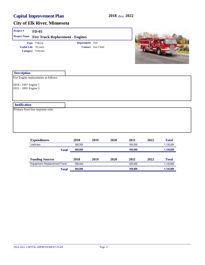| Project#                                     | $FD-03$                                 |                 |                           |  |
|----------------------------------------------|-----------------------------------------|-----------------|---------------------------|--|
| <b>Project Name</b>                          | <b>Fire Truck Replacement - Engines</b> |                 |                           |  |
|                                              | Type Vehicle                            | Department Fire |                           |  |
|                                              | <b>Useful Life</b> 20 years             |                 | <b>Contact</b> Fire Chief |  |
|                                              | Category Vehicles                       |                 |                           |  |
| <b>Description</b>                           |                                         |                 |                           |  |
|                                              | Fire Engine replacements as follows:    |                 |                           |  |
| 2018 - 1997 Engine 1<br>2021 - 2001 Engine 3 |                                         |                 |                           |  |
| <b>Justification</b>                         |                                         |                 |                           |  |
|                                              | Primary front-line response units       |                 |                           |  |
|                                              |                                         |                 |                           |  |
|                                              |                                         |                 |                           |  |
|                                              |                                         |                 |                           |  |
|                                              |                                         |                 |                           |  |

| <b>Expenditures</b>        | 2018    | 2019 | 2020 | 2021    | 2022 | <b>Total</b> |
|----------------------------|---------|------|------|---------|------|--------------|
| Vehicles                   | 585.000 |      |      | 550.000 |      | 1.135.000    |
| <b>Total</b>               | 585.000 |      |      | 550.000 |      | 1,135,000    |
| <b>Funding Sources</b>     | 2018    | 2019 | 2020 | 2021    | 2022 | <b>Total</b> |
| Equipment Replacement Fund | 585.000 |      |      | 550.000 |      | 1,135,000    |
| <b>Total</b>               | 585.000 |      |      | 550.000 |      | 1,135,000    |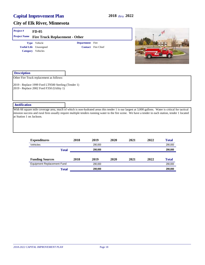| Project#                 | $FD-05$                                                                                                                                                                                                                                                                                                      |                        |                           |      |      |      |              |
|--------------------------|--------------------------------------------------------------------------------------------------------------------------------------------------------------------------------------------------------------------------------------------------------------------------------------------------------------|------------------------|---------------------------|------|------|------|--------------|
| <b>Project Name</b>      | <b>Fire Truck Replacement - Other</b>                                                                                                                                                                                                                                                                        |                        |                           |      |      |      |              |
|                          | Type Vehicle                                                                                                                                                                                                                                                                                                 | <b>Department</b> Fire |                           |      |      |      |              |
|                          | <b>Useful Life</b> Unassigned                                                                                                                                                                                                                                                                                |                        | <b>Contact</b> Fire Chief |      |      |      |              |
|                          | Category Vehicles                                                                                                                                                                                                                                                                                            |                        |                           |      |      |      |              |
| <b>Description</b>       |                                                                                                                                                                                                                                                                                                              |                        |                           |      |      |      |              |
|                          | Other Fire Truck replacement as follows:                                                                                                                                                                                                                                                                     |                        |                           |      |      |      |              |
|                          | 2019 - Replace 1999 Ford LT9500 Sterling (Tender 1)<br>2019 - Replace 2002 Ford F350 (Utility 1)                                                                                                                                                                                                             |                        |                           |      |      |      |              |
| <b>Justification</b>     |                                                                                                                                                                                                                                                                                                              |                        |                           |      |      |      |              |
| at Station 1 on Jackson. | With 66 square mile coverage area, much of which is non-hydrated areas this tender 1 is our largest at 3,000 gallons. Water is critical for tactical<br>mission success and rural fires usually require multiple tenders running water to the fire scene. We have a tender in each station, tender 1 located |                        |                           |      |      |      |              |
|                          | <b>Expenditures</b>                                                                                                                                                                                                                                                                                          | 2018                   | 2019                      | 2020 | 2021 | 2022 | <b>Total</b> |

| <b>Expension</b> to               |       | -    |         | - - - |      | ---- | a v um       |
|-----------------------------------|-------|------|---------|-------|------|------|--------------|
| Vehicles                          |       |      | 290.000 |       |      |      | 290,000      |
|                                   | Total |      | 290.000 |       |      |      | 290,000      |
| <b>Funding Sources</b>            |       | 2018 | 2019    | 2020  | 2021 | 2022 | <b>Total</b> |
| <b>Equipment Replacement Fund</b> |       |      | 290.000 |       |      |      | 290,000      |
|                                   | Total |      | 290.000 |       |      |      | 290,000      |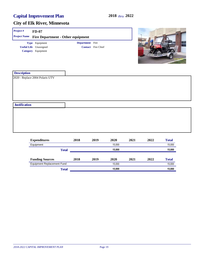| Project#             | $FD-07$                                  |                        |                           |  |
|----------------------|------------------------------------------|------------------------|---------------------------|--|
| <b>Project Name</b>  | <b>Fire Department - Other equipment</b> |                        |                           |  |
|                      | Type Equipment                           | <b>Department</b> Fire |                           |  |
|                      | <b>Useful Life</b> Unassigned            |                        | <b>Contact</b> Fire Chief |  |
|                      | Category Equipment                       |                        |                           |  |
| <b>Description</b>   |                                          |                        |                           |  |
|                      | 2020 - Replace 2004 Polaris UTV          |                        |                           |  |
| <b>Justification</b> |                                          |                        |                           |  |
|                      |                                          |                        |                           |  |

| <b>Expenditures</b>               | 2018         | 2019 | 2020   | 2021 | 2022 | <b>Total</b> |
|-----------------------------------|--------------|------|--------|------|------|--------------|
| Equipment                         |              |      | 15.000 |      |      | 15,000       |
|                                   | <b>Total</b> |      | 15,000 |      |      | 15,000       |
|                                   |              |      |        |      |      |              |
| <b>Funding Sources</b>            | 2018         | 2019 | 2020   | 2021 | 2022 | <b>Total</b> |
| <b>Equipment Replacement Fund</b> |              |      | 15.000 |      |      | 15,000       |
|                                   | <b>Total</b> |      | 15.000 |      |      | 15,000       |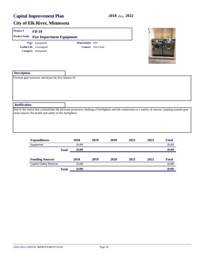| Project#             | $FD-10$                                                  |                 |                           |                                                                                                                                                      |
|----------------------|----------------------------------------------------------|-----------------|---------------------------|------------------------------------------------------------------------------------------------------------------------------------------------------|
| <b>Project Name</b>  | <b>Fire Department Equipment</b>                         |                 |                           |                                                                                                                                                      |
|                      | Type Equipment                                           | Department Fire |                           |                                                                                                                                                      |
|                      | <b>Useful Life</b> Unassigned                            |                 | <b>Contact</b> Fire Chief |                                                                                                                                                      |
|                      | Category Equipment                                       |                 |                           |                                                                                                                                                      |
|                      |                                                          |                 |                           |                                                                                                                                                      |
|                      |                                                          |                 |                           |                                                                                                                                                      |
|                      |                                                          |                 |                           |                                                                                                                                                      |
|                      |                                                          |                 |                           |                                                                                                                                                      |
| <b>Description</b>   |                                                          |                 |                           |                                                                                                                                                      |
|                      | Turnout gear extractor and dryer for Fire Station #2     |                 |                           |                                                                                                                                                      |
|                      |                                                          |                 |                           |                                                                                                                                                      |
|                      |                                                          |                 |                           |                                                                                                                                                      |
|                      |                                                          |                 |                           |                                                                                                                                                      |
|                      |                                                          |                 |                           |                                                                                                                                                      |
|                      |                                                          |                 |                           |                                                                                                                                                      |
| <b>Justification</b> |                                                          |                 |                           |                                                                                                                                                      |
|                      |                                                          |                 |                           | Due to the toxins that contaminate the personal protective clothing of firefighters and the connection to a variety of cancers, keeping turnout gear |
|                      | clean ensures the health and safety of the firefighters. |                 |                           |                                                                                                                                                      |
|                      |                                                          |                 |                           |                                                                                                                                                      |
|                      |                                                          |                 |                           |                                                                                                                                                      |
|                      |                                                          |                 |                           |                                                                                                                                                      |
|                      |                                                          |                 |                           |                                                                                                                                                      |
|                      |                                                          |                 |                           |                                                                                                                                                      |
|                      |                                                          |                 |                           |                                                                                                                                                      |

| <b>Expenditures</b>           |              | 2018   | 2019 | 2020 | 2021 | 2022 | <b>Total</b> |
|-------------------------------|--------------|--------|------|------|------|------|--------------|
| Equipment                     |              | 20.000 |      |      |      |      | 20,000       |
|                               | Total        | 20.000 |      |      |      |      | 20,000       |
|                               |              |        |      |      |      |      |              |
| <b>Funding Sources</b>        |              | 2018   | 2019 | 2020 | 2021 | 2022 | <b>Total</b> |
| <b>Capital Outlay Reserve</b> |              | 20.000 |      |      |      |      | 20,000       |
|                               | <b>Total</b> | 20,000 |      |      |      |      | 20,000       |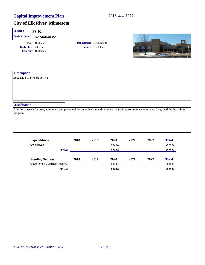| Project#                                           | $FS-02$                                                                                                                                     |                                 |                           |      |      |      |              |
|----------------------------------------------------|---------------------------------------------------------------------------------------------------------------------------------------------|---------------------------------|---------------------------|------|------|------|--------------|
| <b>Project Name</b>                                | <b>Fire Station #2</b>                                                                                                                      |                                 |                           |      |      |      |              |
|                                                    | Type Building                                                                                                                               | <b>Department</b> Fire Stations |                           |      |      |      |              |
|                                                    | <b>Useful Life</b> 20 years                                                                                                                 |                                 | <b>Contact</b> Fire Chief |      |      |      |              |
|                                                    | <b>Category</b> Buildings                                                                                                                   |                                 |                           |      |      |      |              |
| <b>Description</b><br>Expansion of Fire Station #2 |                                                                                                                                             |                                 |                           |      |      |      |              |
|                                                    |                                                                                                                                             |                                 |                           |      |      |      |              |
| <b>Justification</b>                               |                                                                                                                                             |                                 |                           |      |      |      |              |
| program.                                           | Additional space for gear, equipment and personnel decontamination and renovate the training room to accommodate for growth in the training |                                 |                           |      |      |      |              |
|                                                    | <b>Expenditures</b>                                                                                                                         | 2018                            | 2019                      | 2020 | 2021 | 2022 | <b>Total</b> |

|                              |      |      |         |      |      | Total                            |
|------------------------------|------|------|---------|------|------|----------------------------------|
|                              |      |      | 900,000 |      |      | 900,000                          |
| <b>Total</b>                 |      |      | 900,000 |      |      | 900,000                          |
|                              |      |      |         |      |      |                                  |
|                              | 2018 | 2019 | 2020    | 2021 | 2022 | <b>Total</b>                     |
| Government Buildings Reserve |      |      | 900.000 |      |      | 900,000                          |
|                              |      |      |         |      |      | 900,000                          |
|                              |      | 2018 | 2019    | 2020 |      | 2021<br>2022<br>900,000<br>Total |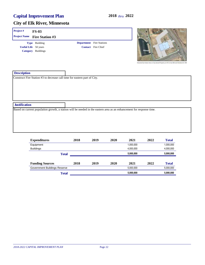| Project#                                                           | <b>FS-03</b>                                                                                                          |                                                              |              |      |                                                          | <b>Battery</b> |
|--------------------------------------------------------------------|-----------------------------------------------------------------------------------------------------------------------|--------------------------------------------------------------|--------------|------|----------------------------------------------------------|----------------|
| <b>Project Name</b>                                                | <b>Fire Station #3</b>                                                                                                |                                                              |              |      |                                                          |                |
| Type Building<br><b>Useful Life</b> 50 years<br>Category Buildings |                                                                                                                       | <b>Department</b> Fire Stations<br><b>Contact</b> Fire Chief |              |      |                                                          |                |
| <b>Description</b>                                                 |                                                                                                                       |                                                              |              |      | Notacoldal East Middlese Situ can Citie Daymed Present's |                |
|                                                                    | Construct Fire Station #3 to decrease call time for eastern part of City.                                             |                                                              |              |      |                                                          |                |
| <b>Justification</b>                                               |                                                                                                                       |                                                              |              |      |                                                          |                |
|                                                                    | Based on current population growth, a station will be needed in the eastern area as an enhancement for response time. |                                                              |              |      |                                                          |                |
|                                                                    | <b>Expenditures</b>                                                                                                   | 2018                                                         | 2020<br>2019 | 2021 | 2022                                                     | <b>Total</b>   |

| <b>Experientifies</b>        |              | 4010 | 4V17 | ZUZU | 4V41      | 4044 | Total        |
|------------------------------|--------------|------|------|------|-----------|------|--------------|
| Equipment                    |              |      |      |      | 1,000,000 |      | 1,000,000    |
| <b>Buildings</b>             |              |      |      |      | 4,000,000 |      | 4,000,000    |
|                              | <b>Total</b> |      |      |      | 5,000,000 |      | 5,000,000    |
|                              |              |      |      |      |           |      |              |
| <b>Funding Sources</b>       |              | 2018 | 2019 | 2020 | 2021      | 2022 | <b>Total</b> |
| Government Buildings Reserve |              |      |      |      | 5,000,000 |      | 5,000,000    |
|                              | <b>Total</b> |      |      |      | 5,000,000 |      | 5,000,000    |
|                              |              |      |      |      |           |      |              |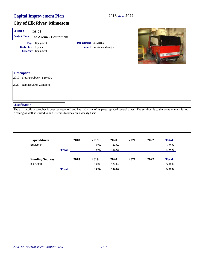| Project#                   | $IA-03$                                                                 |                      |                                  |                                                                                                                                                      |
|----------------------------|-------------------------------------------------------------------------|----------------------|----------------------------------|------------------------------------------------------------------------------------------------------------------------------------------------------|
| <b>Project Name</b>        | Ice Arena - Equipment                                                   |                      |                                  |                                                                                                                                                      |
| <b>Useful Life</b> 7 years | Type Equipment<br>Category Equipment                                    | Department Ice Arena | <b>Contact</b> Ice Arena Manager | zumann                                                                                                                                               |
| <b>Description</b>         |                                                                         |                      |                                  |                                                                                                                                                      |
|                            | 2019 - Floor scrubber - \$10,000                                        |                      |                                  |                                                                                                                                                      |
|                            | 2020 - Replace 2008 Zamboni                                             |                      |                                  |                                                                                                                                                      |
| <b>Justification</b>       |                                                                         |                      |                                  |                                                                                                                                                      |
|                            | cleaning as well as it used to and it seems to break on a weekly basis. |                      |                                  | The existing floor scrubber is over ten years old and has had many of its parts replaced several times. The scrubber is to the point where it is not |

| <b>Expenditures</b>    |              | 2018 | 2019   | 2020    | 2021 | 2022 | <b>Total</b> |
|------------------------|--------------|------|--------|---------|------|------|--------------|
| Equipment              |              |      | 10.000 | 120.000 |      |      | 130,000      |
|                        | <b>Total</b> |      | 10.000 | 120.000 |      |      | 130,000      |
| <b>Funding Sources</b> |              | 2018 | 2019   | 2020    | 2021 | 2022 | <b>Total</b> |
| Ice Arena              |              |      | 10.000 | 120.000 |      |      | 130,000      |
|                        | <b>Total</b> |      | 10.000 | 120.000 |      |      | 130,000      |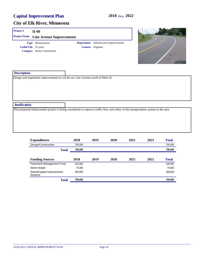#### **City of Elk River, Minnesota**

#### **Project # II-00 Useful Life** 25 years **Project Name Line Avenue Improvements Category** Street Construction **Type** Infrastructure **Contact** Engineer **Department** Infrastructure Improvements



| <b>Description</b>                                                            |                                                                                                                                    |
|-------------------------------------------------------------------------------|------------------------------------------------------------------------------------------------------------------------------------|
| Design and implement improvements to cul-de-sac Line Avenue north of Main St. |                                                                                                                                    |
|                                                                               |                                                                                                                                    |
|                                                                               |                                                                                                                                    |
|                                                                               |                                                                                                                                    |
|                                                                               |                                                                                                                                    |
|                                                                               |                                                                                                                                    |
| <b>Justification</b>                                                          |                                                                                                                                    |
|                                                                               | This proposed enhancement project is being considered to improve traffic flow and safety of the transportation system in the area. |
|                                                                               |                                                                                                                                    |
|                                                                               |                                                                                                                                    |
|                                                                               |                                                                                                                                    |
|                                                                               |                                                                                                                                    |

| <b>Expenditures</b>                   | 2018    | 2019 | <b>2020</b> | 2021 | 2022 | <b>Total</b> |
|---------------------------------------|---------|------|-------------|------|------|--------------|
| Design/Construction                   | 700,000 |      |             |      |      | 700,000      |
| <b>Total</b>                          | 700,000 |      |             |      |      | 700,000      |
|                                       |         |      |             |      |      |              |
| <b>Funding Sources</b>                | 2018    | 2019 | 2020        | 2021 | 2022 | <b>Total</b> |
| Pavement Management Fund              | 225,000 |      |             |      |      | 225,000      |
| Storm Water                           | 75,000  |      |             |      |      | 75,000       |
| Street/Capital Improvement<br>Reserve | 400.000 |      |             |      |      | 400,000      |
| <b>Total</b>                          | 700,000 |      |             |      |      | 700,000      |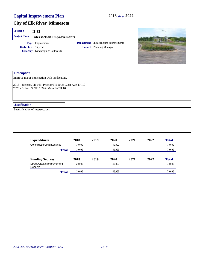| Project#                               | $II-33$                                                                                                                                            |             |                                                                                  |  |
|----------------------------------------|----------------------------------------------------------------------------------------------------------------------------------------------------|-------------|----------------------------------------------------------------------------------|--|
| <b>Project Name</b>                    | <b>Intersection Improvements</b>                                                                                                                   |             |                                                                                  |  |
|                                        | Type Improvement<br><b>Useful Life</b> 15 years<br>Category Landscaping/Boulevards                                                                 |             | <b>Department</b> Infrastructure Improvements<br><b>Contact</b> Planning Manager |  |
| <b>Description</b>                     |                                                                                                                                                    |             |                                                                                  |  |
|                                        | Improve major intersection with landscaping -<br>2018 - Jackson/TH 169, Proctor/TH 10 & 172st Ave/TH 10<br>2020 - School St/TH 169 & Main St/TH 10 |             |                                                                                  |  |
| <b>Justification</b>                   |                                                                                                                                                    |             |                                                                                  |  |
| <b>Beautification of intersections</b> |                                                                                                                                                    |             |                                                                                  |  |
|                                        | $\mathbf{E}$<br>124                                                                                                                                | <b>A010</b> |                                                                                  |  |

| <b>Expenditures</b>                   | 2018   | 2019 | 2020   | 2021 | 2022 | <b>Total</b> |
|---------------------------------------|--------|------|--------|------|------|--------------|
| Construction/Maintenance              | 30,000 |      | 40.000 |      |      | 70,000       |
| <b>Total</b>                          | 30,000 |      | 40,000 |      |      | 70,000       |
|                                       |        |      |        |      |      |              |
| <b>Funding Sources</b>                | 2018   | 2019 | 2020   | 2021 | 2022 | <b>Total</b> |
| Street/Capital Improvement<br>Reserve | 30.000 |      | 40.000 |      |      | 70,000       |
| <b>Total</b>                          | 30,000 |      | 40,000 |      |      | 70,000       |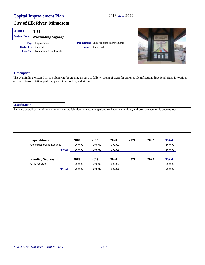#### **City of Elk River, Minnesota**

#### **Project # II-34 Useful Life** 25 years **Project Name Wayfinding Signage Category** Landscaping/Boulevards **Type** Improvement **Contact** City Clerk **Department** Infrastructure Improvements



| <b>Description</b>   |                                                                                                                                                                                                                           |
|----------------------|---------------------------------------------------------------------------------------------------------------------------------------------------------------------------------------------------------------------------|
|                      | The Wayfinding Master Plan is a blueprint for creating an easy to follow system of signs for entrance identification, directional signs for various<br>modes of transportation, parking, parks, interpretive, and kiosks. |
|                      |                                                                                                                                                                                                                           |
|                      |                                                                                                                                                                                                                           |
| <b>Justification</b> |                                                                                                                                                                                                                           |
|                      | Enhance overall brand of the community, establish identity, ease navigation, market city amenities, and promote economic development.                                                                                     |
|                      |                                                                                                                                                                                                                           |
|                      |                                                                                                                                                                                                                           |
|                      |                                                                                                                                                                                                                           |
|                      |                                                                                                                                                                                                                           |
|                      |                                                                                                                                                                                                                           |

| <b>Expenditures</b>      |              | 2018    | 2019    | 2020    | 2021 | 2022 | <b>Total</b> |
|--------------------------|--------------|---------|---------|---------|------|------|--------------|
| Construction/Maintenance |              | 200.000 | 200.000 | 200.000 |      |      | 600,000      |
|                          | <b>Total</b> | 200,000 | 200.000 | 200.000 |      |      | 600,000      |
| <b>Funding Sources</b>   |              | 2018    | 2019    | 2020    | 2021 | 2022 | <b>Total</b> |
| <b>GRE</b> reserve       |              | 200.000 | 200.000 | 200.000 |      |      | 600,000      |
|                          | <b>Total</b> | 200,000 | 200.000 | 200.000 |      |      | 600,000      |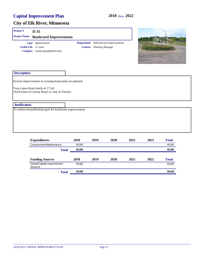| Project#             | $II-35$                                                                                                                                        |                  |                                 |                                               |      |      |                  |
|----------------------|------------------------------------------------------------------------------------------------------------------------------------------------|------------------|---------------------------------|-----------------------------------------------|------|------|------------------|
| <b>Project Name</b>  | <b>Boulevard Improvements</b>                                                                                                                  |                  |                                 |                                               |      |      |                  |
|                      | Type Improvement<br><b>Useful Life</b> 15 years<br>Category Landscaping/Boulevards                                                             |                  | <b>Contact</b> Planning Manager | <b>Department</b> Infrastructure Improvements |      |      |                  |
| <b>Description</b>   |                                                                                                                                                |                  |                                 |                                               |      |      |                  |
|                      | Several improvements to existing boulevards are planned:<br>Twin Lakes Road (north of 171st)<br>193rd (west of County Road 13, east of Xavier) |                  |                                 |                                               |      |      |                  |
| <b>Justification</b> |                                                                                                                                                |                  |                                 |                                               |      |      |                  |
|                      | To achieve beautification goal for boulevard improvements                                                                                      |                  |                                 |                                               |      |      |                  |
|                      | <b>Expenditures</b>                                                                                                                            | 2018             | 2019                            | 2020                                          | 2021 | 2022 | <b>Total</b>     |
|                      | Construction/Maintenance<br><b>Total</b>                                                                                                       | 80,000<br>80,000 |                                 |                                               |      |      | 80,000<br>80,000 |
|                      | <b>Funding Sources</b>                                                                                                                         | 2018             | 2019                            | 2020                                          | 2021 | 2022 | <b>Total</b>     |

| 80,000<br>80,000<br>Street/Capital Improvement<br>Reserve | <b>Total</b> | 80.000 | 80,000 |
|-----------------------------------------------------------|--------------|--------|--------|
|                                                           |              |        |        |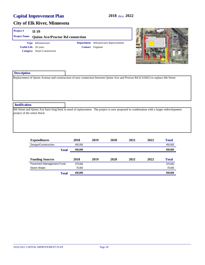#### **City of Elk River, Minnesota**

#### **Project # II-39**

| <b>Project Name Ouinn Ave/Proctor Rd connection</b> |                                     |  |                                               |  |  |  |  |
|-----------------------------------------------------|-------------------------------------|--|-----------------------------------------------|--|--|--|--|
|                                                     | <b>Type</b> Infrastructure          |  | <b>Department</b> Infrastructure Improvements |  |  |  |  |
| <b>Useful Life</b> 20 years                         |                                     |  | <b>Contact</b> Engineer                       |  |  |  |  |
|                                                     | <b>Category</b> Street Construction |  |                                               |  |  |  |  |



| <b>Description</b>          |                                                                                                                                        |
|-----------------------------|----------------------------------------------------------------------------------------------------------------------------------------|
|                             | Replacement of Quinn Avenue and construction of new connection between Quinn Ave and Proctor Rd (CSAH1) to replace 6th Street          |
|                             |                                                                                                                                        |
|                             |                                                                                                                                        |
|                             |                                                                                                                                        |
|                             |                                                                                                                                        |
|                             |                                                                                                                                        |
| <b>Justification</b>        |                                                                                                                                        |
| project of the entire block | 6th Street and Quinn Ave have long been in need of replacement. The project is now proposed in combination with a larger redevelopment |
|                             |                                                                                                                                        |
|                             |                                                                                                                                        |
|                             |                                                                                                                                        |
|                             |                                                                                                                                        |

| <b>Expenditures</b>      | 2018    | 2019 | 2020 | 2021 | 2022 | <b>Total</b> |
|--------------------------|---------|------|------|------|------|--------------|
| Design/Construction      | 450.000 |      |      |      |      | 450,000      |
| <b>Total</b>             | 450,000 |      |      |      |      | 450,000      |
|                          |         |      |      |      |      |              |
| <b>Funding Sources</b>   | 2018    | 2019 | 2020 | 2021 | 2022 | <b>Total</b> |
| Pavement Management Fund | 375.000 |      |      |      |      | 375,000      |
| Storm Water              | 75.000  |      |      |      |      | 75,000       |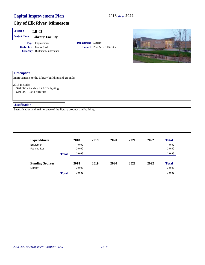| Project#             | $LB-03$                                                                                                                |                    |                                     |      |      |                |                        |
|----------------------|------------------------------------------------------------------------------------------------------------------------|--------------------|-------------------------------------|------|------|----------------|------------------------|
| <b>Project Name</b>  | <b>Library Facility</b>                                                                                                |                    |                                     |      |      |                |                        |
|                      | Type Improvement<br><b>Useful Life</b> Unassigned<br><b>Category</b> Building Maintenance                              | Department Library | <b>Contact</b> Park & Rec. Director |      |      | <b>TASSINE</b> |                        |
| <b>Description</b>   |                                                                                                                        |                    |                                     |      |      |                |                        |
| 2018 includes -      | Improvements to the Library building and grounds:<br>\$20,000 - Parking lot LED lighting<br>\$10,000 - Patio furniture |                    |                                     |      |      |                |                        |
| <b>Justification</b> |                                                                                                                        |                    |                                     |      |      |                |                        |
|                      | Beautification and maintenance of the library grounds and building.                                                    |                    |                                     |      |      |                |                        |
|                      | <b>Expenditures</b><br>Equipment                                                                                       | 2018<br>10.000     | 2019                                | 2020 | 2021 | 2022           | <b>Total</b><br>10.000 |

| Equipment              |              | 10,000 |      |      |      |      | 10,000       |
|------------------------|--------------|--------|------|------|------|------|--------------|
| Parking Lot            |              | 20,000 |      |      |      |      | 20,000       |
|                        | <b>Total</b> | 30,000 |      |      |      |      | 30,000       |
|                        |              |        |      |      |      |      |              |
| <b>Funding Sources</b> |              | 2018   | 2019 | 2020 | 2021 | 2022 | <b>Total</b> |
| Library                |              | 30.000 |      |      |      |      | 30,000       |
|                        | <b>Total</b> | 30,000 |      |      |      |      | 30,000       |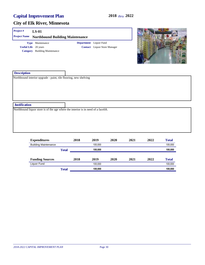#### **City of Elk River, Minnesota**

# **Description** Northbound interior upgrade - paint, tile flooring, new shelving **Project # LS-01 Justification** Northbound liquor store is of the age where the interior is in need of a facelift. **Useful Life** 20 years **Project Name Northbound Building Maintenance Category** Building Maintenance **Type** Maintenance **Contact** Liquor Store Manager **Department** Liquor Fund

| <b>Expenditures</b>         |              | 2018    | 2019    | 2020 | 2021 | 2022 | <b>Total</b> |
|-----------------------------|--------------|---------|---------|------|------|------|--------------|
| <b>Building Maintenance</b> |              |         | 100.000 |      |      |      | 100,000      |
|                             | <b>Total</b> | 100.000 |         |      |      |      | 100,000      |
| <b>Funding Sources</b>      |              | 2018    | 2019    | 2020 | 2021 | 2022 | <b>Total</b> |
| Liquor Fund                 |              |         | 100.000 |      |      |      | 100,000      |
|                             | Total        |         | 100.000 |      |      |      | 100,000      |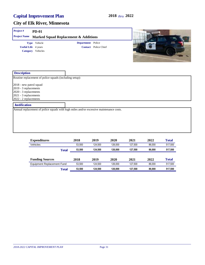| Project#                                                                                                                    | <b>PD-01</b>                                                                            |                   |                             |  |
|-----------------------------------------------------------------------------------------------------------------------------|-----------------------------------------------------------------------------------------|-------------------|-----------------------------|--|
| <b>Project Name</b>                                                                                                         | <b>Marked Squad Replacement &amp; Additions</b>                                         |                   |                             |  |
| <b>Useful Life</b> 4 years<br>Category Vehicles                                                                             | Type Vehicle                                                                            | Department Police | <b>Contact</b> Police Chief |  |
| <b>Description</b>                                                                                                          |                                                                                         |                   |                             |  |
| 2018 - new patrol squad<br>2019 - 3 replacements<br>2020 - 3 replacements<br>2021 - 3 replacements<br>2022 - 2 replacements | Routine replacement of police squads (including setup):                                 |                   |                             |  |
| <b>Justification</b>                                                                                                        |                                                                                         |                   |                             |  |
|                                                                                                                             | Annual replacement of police squads with high miles and/or excessive maintenance costs. |                   |                             |  |

| <b>Expenditures</b>        |       | 2018   | 2019    | 2020    | 2021    | 2022   | <b>Total</b> |
|----------------------------|-------|--------|---------|---------|---------|--------|--------------|
| Vehicles                   |       | 53.500 | 124.500 | 126.000 | 127.500 | 86.000 | 517,500      |
|                            | Total | 53.500 | 124.500 | 126.000 | 127.500 | 86,000 | 517,500      |
| <b>Funding Sources</b>     |       | 2018   | 2019    | 2020    | 2021    | 2022   | <b>Total</b> |
| Equipment Replacement Fund |       | 53.500 | 124.500 | 126.000 | 127.500 | 86.000 | 517,500      |
|                            | Total | 53.500 | 124.500 | 126.000 | 127.500 | 86,000 | 517,500      |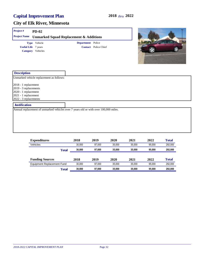| Project#                   | <b>PD-02</b>                                                                         |                          |                             |  |
|----------------------------|--------------------------------------------------------------------------------------|--------------------------|-----------------------------|--|
| <b>Project Name</b>        | <b>Unmarked Squad Replacement &amp; Additions</b>                                    |                          |                             |  |
|                            | Type Vehicle                                                                         | <b>Department</b> Police |                             |  |
| <b>Useful Life</b> 7 years |                                                                                      |                          | <b>Contact</b> Police Chief |  |
| Category Vehicles          |                                                                                      |                          |                             |  |
| <b>Description</b>         |                                                                                      |                          |                             |  |
|                            | Unmarked vehicle replacement as follows:                                             |                          |                             |  |
| 2018 - 1 replacement       |                                                                                      |                          |                             |  |
| 2019 - 3 replacements      |                                                                                      |                          |                             |  |
| 2020 - 1 replacement       |                                                                                      |                          |                             |  |
| 2021 - 1 replacement       |                                                                                      |                          |                             |  |
| 2022 - 3 replacements      |                                                                                      |                          |                             |  |
| <b>Justification</b>       |                                                                                      |                          |                             |  |
|                            | Annual replacement of unmarked vehicles over 7 years old or with over 100,000 miles. |                          |                             |  |
|                            |                                                                                      |                          |                             |  |
|                            |                                                                                      |                          |                             |  |
|                            |                                                                                      |                          |                             |  |
|                            |                                                                                      |                          |                             |  |
|                            |                                                                                      |                          |                             |  |
|                            |                                                                                      |                          |                             |  |

| <b>Expenditures</b>        |              | 2018   | 2019   | 2020   | 2021   | 2022   | <b>Total</b> |
|----------------------------|--------------|--------|--------|--------|--------|--------|--------------|
| Vehicles                   |              | 30.000 | 97.000 | 35.000 | 35.000 | 95.000 | 292.000      |
|                            | <b>Total</b> | 30.000 | 97.000 | 35.000 | 35,000 | 95,000 | 292,000      |
| <b>Funding Sources</b>     |              | 2018   | 2019   | 2020   | 2021   | 2022   | <b>Total</b> |
| Equipment Replacement Fund |              | 30.000 | 97.000 | 35.000 | 35.000 | 95.000 | 292,000      |
|                            | <b>Total</b> | 30.000 | 97.000 | 35.000 | 35,000 | 95,000 | 292,000      |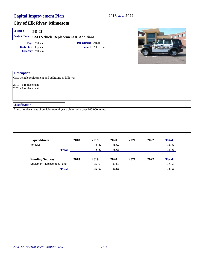| <b>PD-03</b>                                                                |          |
|-----------------------------------------------------------------------------|----------|
| <b>Project Name</b><br><b>CSO Vehicle Replacement &amp; Additions</b>       | $\Gamma$ |
| Department Police<br>Type Vehicle                                           |          |
| <b>Useful Life</b> 6 years<br><b>Contact</b> Police Chief                   |          |
| Category Vehicles                                                           |          |
|                                                                             |          |
|                                                                             |          |
|                                                                             |          |
| <b>Description</b>                                                          |          |
|                                                                             |          |
| CSO vehicle replacement and additions as follows:                           |          |
| 2019 - 1 replacement                                                        |          |
| 2020 - 1 replacement                                                        |          |
|                                                                             |          |
|                                                                             |          |
| <b>Justification</b>                                                        |          |
| Annual replacement of vehicles over 6 years old or with over 100,000 miles. |          |
|                                                                             |          |
|                                                                             |          |
|                                                                             |          |
|                                                                             |          |
|                                                                             |          |

| <b>Expenditures</b>               | 2018         | 2019   | 2020   | 2021 | 2022 | <b>Total</b> |
|-----------------------------------|--------------|--------|--------|------|------|--------------|
| Vehicles                          |              | 36.750 | 36.000 |      |      | 72,750       |
|                                   | <b>Total</b> | 36.750 | 36,000 |      |      | 72,750       |
| <b>Funding Sources</b>            | 2018         | 2019   | 2020   | 2021 | 2022 | <b>Total</b> |
| <b>Equipment Replacement Fund</b> |              | 36.750 | 36.000 |      |      | 72,750       |
|                                   | Total        | 36.750 | 36,000 |      |      | 72.750       |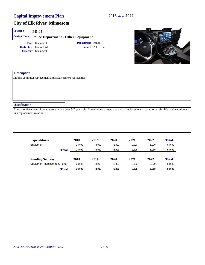| Project#                   | <b>PD-04</b>                                             |                   |                             |                                                                                                                                                 |
|----------------------------|----------------------------------------------------------|-------------------|-----------------------------|-------------------------------------------------------------------------------------------------------------------------------------------------|
| <b>Project Name</b>        | <b>Police Department - Other Equipment</b>               |                   |                             |                                                                                                                                                 |
|                            | Type Equipment                                           | Department Police |                             |                                                                                                                                                 |
|                            | <b>Useful Life</b> Unassigned                            |                   | <b>Contact</b> Police Chief |                                                                                                                                                 |
|                            | Category Equipment                                       |                   |                             |                                                                                                                                                 |
| <b>Description</b>         |                                                          |                   |                             |                                                                                                                                                 |
|                            | Mobile computer replacement and radar/camera replacement |                   |                             |                                                                                                                                                 |
| <b>Justification</b>       |                                                          |                   |                             |                                                                                                                                                 |
| in a replacement rotation. |                                                          |                   |                             | Annual replacement of computers that are over 5-7 years old. Squad video camera and radars replacement is based on useful life of the equipment |

| <b>Expenditures</b>        | 2018   | 2019   | 2020   | 2021  | 2022  | <b>Total</b> |
|----------------------------|--------|--------|--------|-------|-------|--------------|
| Equipment                  | 28.000 | 43.000 | 12.000 | 9.000 | 6.000 | 98.000       |
| Total                      | 28.000 | 43.000 | 12.000 | 9.000 | 6.000 | 98,000       |
| <b>Funding Sources</b>     | 2018   | 2019   | 2020   | 2021  | 2022  | <b>Total</b> |
| Equipment Replacement Fund | 28.000 | 43.000 | 12.000 | 9.000 | 6.000 | 98,000       |
| <b>Total</b>               | 28.000 | 43.000 | 12.000 | 9.000 | 6.000 | 98,000       |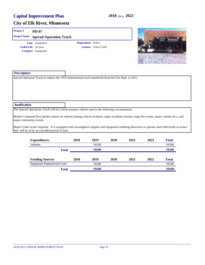#### **City of Elk River, Minnesota**

| Project#                | <b>PD-07</b>                                                        |                   |                                                                                                          |                                                                                                                                                |
|-------------------------|---------------------------------------------------------------------|-------------------|----------------------------------------------------------------------------------------------------------|------------------------------------------------------------------------------------------------------------------------------------------------|
| <b>Project Name</b>     | <b>Special Operation Truck</b>                                      |                   |                                                                                                          |                                                                                                                                                |
|                         | Type Equipment<br><b>Useful Life</b> 20 years<br>Category Equipment | <b>Department</b> | Police<br><b>Contact</b> Police Chief                                                                    |                                                                                                                                                |
| <b>Description</b>      |                                                                     |                   | Special Operation Truck to replace the 1993 International truck transferred from the Fire Dept. in 2011. |                                                                                                                                                |
| <b>Justification</b>    |                                                                     |                   |                                                                                                          |                                                                                                                                                |
| major community events. |                                                                     |                   | The Special Operations Truck will be a multi-purpose vehicle used in the following circumstances:        | Mobile Command Post (police station on wheels) during critical incidents, major incidents (storms, large fire scenes, major crashes etc.), and |

Major Crime Scene response - It is equipped with investigative supplies and equipment enabling detectives to operate more effectively at scenes they will be at for an extended period of time.

| <b>Expenditures</b>               | 2018         | 2019    | 2020 | 2021 | 2022 | <b>Total</b> |
|-----------------------------------|--------------|---------|------|------|------|--------------|
| Vehicles                          |              | 150.000 |      |      |      | 150,000      |
|                                   | <b>Total</b> | 150,000 |      |      |      | 150,000      |
| <b>Funding Sources</b>            | 2018         | 2019    | 2020 | 2021 | 2022 | <b>Total</b> |
| <b>Equipment Replacement Fund</b> |              | 150.000 |      |      |      | 150,000      |
|                                   | <b>Total</b> | 150.000 |      |      |      | 150,000      |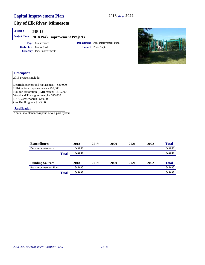| Project#                                                    | <b>PIF-18</b>                                                                                                                                                                |                                                         |  |
|-------------------------------------------------------------|------------------------------------------------------------------------------------------------------------------------------------------------------------------------------|---------------------------------------------------------|--|
| <b>Project Name</b>                                         | <b>2018 Park Improvement Projects</b>                                                                                                                                        |                                                         |  |
|                                                             | Type Maintenance<br><b>Useful Life</b> Unassigned<br><b>Category</b> Park Improvements                                                                                       | Department Park Improvement Fund<br>Contact Parks Supt. |  |
| <b>Description</b>                                          |                                                                                                                                                                              |                                                         |  |
| 2018 projects include:                                      |                                                                                                                                                                              |                                                         |  |
| DAAC scoreboards - \$40,000<br>Oak Knoll lights - \$125,000 | Deerfield playground replacement - \$80,000<br>Hillside Park improvements - \$65,000<br>Houlton restoration (FMR match) - \$10,000<br>Woodland Trails grant match - \$25,000 |                                                         |  |
| <b>Justification</b>                                        |                                                                                                                                                                              |                                                         |  |
|                                                             | Annual maintenance/repairs of our park system.                                                                                                                               |                                                         |  |
|                                                             |                                                                                                                                                                              |                                                         |  |

| 2018    | 2019 | 2020 | 2021 | 2022 | <b>Total</b> |
|---------|------|------|------|------|--------------|
| 345.000 |      |      |      |      | 345,000      |
| 345,000 |      |      |      |      | 345,000      |
|         |      |      |      |      |              |
| 2018    | 2019 | 2020 | 2021 | 2022 | <b>Total</b> |
| 345.000 |      |      |      |      | 345,000      |
| 345.000 |      |      |      |      | 345,000      |
|         |      |      |      |      |              |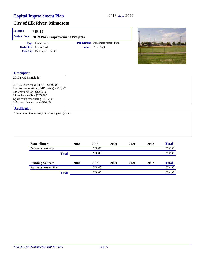#### **City of Elk River, Minnesota**

#### **Description** 2019 projects include: DAAC fence replacement - \$200,000 Houlton restoration (FMR match) - \$10,000 LPC parking lot - \$125,000 Lions Park trails - \$203,300 Sport court resurfacing - \$18,000 **Project # PIF-19 Useful Life** Unassigned **Project Name 2019 Park Improvement Projects Category** Park Improvements **Type** Maintenance **Contact** Parks Supt. **Department** Park Improvement Fund

#### **Justification**

YAC well inspections - \$14,000

Annual maintenance/repairs of our park system.

| <b>Expenditures</b>    |              | 2018 | 2019    | 2020 | 2021 | 2022 | <b>Total</b> |
|------------------------|--------------|------|---------|------|------|------|--------------|
| Park Improvements      |              |      | 570.300 |      |      |      | 570,300      |
|                        | <b>Total</b> |      | 570.300 |      |      |      | 570,300      |
| <b>Funding Sources</b> |              | 2018 | 2019    | 2020 | 2021 | 2022 | <b>Total</b> |
| Park Improvement Fund  |              |      | 570.300 |      |      |      | 570,300      |
|                        | <b>Total</b> |      | 570.300 |      |      |      | 570,300      |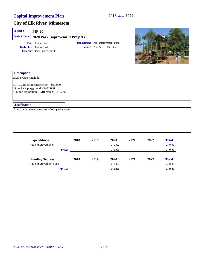#### **City of Elk River, Minnesota**

## **Project # PIF-20**

| <b>Project Name</b> 2020 Park Improvement Projects |                                         |
|----------------------------------------------------|-----------------------------------------|
| <b>Type</b> Maintenance                            | <b>Department</b> Park Improvement Fund |
| <b>Useful Life</b> Unassigned                      | <b>Contact</b> Park & Rec. Director     |
| <b>Category</b> Park Improvements                  |                                         |
|                                                    |                                         |



| <b>Description</b>                             |                                  |      |         |      |      |                |  |
|------------------------------------------------|----------------------------------|------|---------|------|------|----------------|--|
| 2020 projects include:                         |                                  |      |         |      |      |                |  |
| DAAC infield reconstruction - \$60,000         |                                  |      |         |      |      |                |  |
| Lions Park playground - \$200,000              |                                  |      |         |      |      |                |  |
| Houlton restoration (FMR match) - \$10,000     |                                  |      |         |      |      |                |  |
|                                                |                                  |      |         |      |      |                |  |
|                                                |                                  |      |         |      |      |                |  |
| <b>Justification</b>                           |                                  |      |         |      |      |                |  |
| Annual maintenance/repairs of our park system. |                                  |      |         |      |      |                |  |
|                                                |                                  |      |         |      |      |                |  |
|                                                |                                  |      |         |      |      |                |  |
|                                                |                                  |      |         |      |      |                |  |
|                                                |                                  |      |         |      |      |                |  |
|                                                |                                  |      |         |      |      |                |  |
|                                                |                                  |      |         |      |      |                |  |
| <b>Expenditures</b>                            | 2018                             | 2019 | 2020    | 2021 | 2022 | <b>Total</b>   |  |
| Park Improvements                              |                                  |      | 270,000 |      |      | 270,000        |  |
|                                                | <b>Part of Contract Contract</b> |      | 070.000 |      |      | <b>070.000</b> |  |

|                        | Total |      |         | 270,000 |      |              |  |  |
|------------------------|-------|------|---------|---------|------|--------------|--|--|
| <b>Funding Sources</b> | 2018  | 2019 | 2020    | 2021    | 2022 | <b>Total</b> |  |  |
| Park Improvement Fund  |       |      | 270.000 |         |      | 270,000      |  |  |
| Total                  |       |      | 270,000 |         |      | 270,000      |  |  |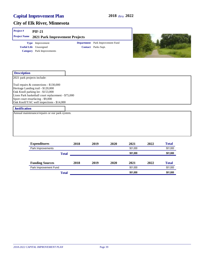#### **City of Elk River, Minnesota**

#### **Project # PIF-21**

**Useful Life** Unassigned **Project Name 2021 Park Improvement Projects Category** Park Improvements **Type** Improvement **Contact** Parks Supt. **Department** Park Improvement Fund



| <b>Description</b>                                                                                                                                                                                                                                         |      |      |      |      |      |              |  |
|------------------------------------------------------------------------------------------------------------------------------------------------------------------------------------------------------------------------------------------------------------|------|------|------|------|------|--------------|--|
| 2021 park projects include:                                                                                                                                                                                                                                |      |      |      |      |      |              |  |
| Trail repairs & connections - \$130,000<br>Heritage Landing trail - \$120,000<br>Oak Knoll parking lot - \$153,000<br>Lions Park basketball court replacement - \$75,000<br>Sport court resurfacing - \$9,000<br>Oak Knoll/YAC well inspections - \$14,000 |      |      |      |      |      |              |  |
| <b>Justification</b>                                                                                                                                                                                                                                       |      |      |      |      |      |              |  |
| Annual maintenance/repairs or our park system.                                                                                                                                                                                                             |      |      |      |      |      |              |  |
|                                                                                                                                                                                                                                                            |      |      |      |      |      |              |  |
|                                                                                                                                                                                                                                                            |      |      |      |      |      |              |  |
|                                                                                                                                                                                                                                                            |      |      |      |      |      |              |  |
|                                                                                                                                                                                                                                                            |      |      |      |      |      |              |  |
| <b>Expenditures</b>                                                                                                                                                                                                                                        | 2018 | 2019 | 2020 | 2021 | 2022 | <b>Total</b> |  |

| <b>Experientifies</b>  |       | 4010 | 4V 19 | 4040 | 4041    | 4044 | Total        |
|------------------------|-------|------|-------|------|---------|------|--------------|
| Park Improvements      |       |      |       |      | 501.000 |      | 501,000      |
|                        | Total |      |       |      | 501,000 |      | 501,000      |
| <b>Funding Sources</b> |       | 2018 | 2019  | 2020 | 2021    | 2022 | <b>Total</b> |
| Park Improvement Fund  |       |      |       |      | 501.000 |      | 501,000      |
|                        | Total |      |       |      | 501.000 |      | 501,000      |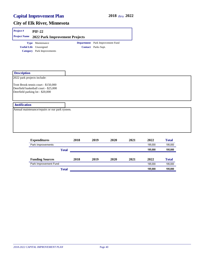| Project#                    | <b>PIF-22</b>                                                                                                     |              |      |                                                         |      |      |         |              |
|-----------------------------|-------------------------------------------------------------------------------------------------------------------|--------------|------|---------------------------------------------------------|------|------|---------|--------------|
| <b>Project Name</b>         | 2022 Park Improvement Projects                                                                                    |              |      |                                                         |      |      |         |              |
|                             | Type Maintenance<br><b>Useful Life</b> Unassigned<br><b>Category</b> Park Improvements                            |              |      | Department Park Improvement Fund<br>Contact Parks Supt. |      |      |         |              |
| <b>Description</b>          |                                                                                                                   |              |      |                                                         |      |      |         |              |
| 2022 park projects include: |                                                                                                                   |              |      |                                                         |      |      |         |              |
|                             | Trott Brook tennis court - \$150,000<br>Deerfield basketball court - \$25,000<br>Deerfield parking lot - \$20,000 |              |      |                                                         |      |      |         |              |
| <b>Justification</b>        |                                                                                                                   |              |      |                                                         |      |      |         |              |
|                             | Annual maintenance/repairs or our park system.                                                                    |              |      |                                                         |      |      |         |              |
|                             |                                                                                                                   |              |      |                                                         |      |      |         |              |
|                             |                                                                                                                   |              |      |                                                         |      |      |         |              |
|                             |                                                                                                                   |              |      |                                                         |      |      |         |              |
|                             | <b>Expenditures</b>                                                                                               |              | 2018 | 2019                                                    | 2020 | 2021 | 2022    | <b>Total</b> |
|                             | Park Improvements                                                                                                 |              |      |                                                         |      |      | 195,000 | 195,000      |
|                             |                                                                                                                   | <b>Total</b> |      |                                                         |      |      | 195,000 | 195,000      |
|                             | <b>Funding Sources</b>                                                                                            |              | 2018 | 2019                                                    | 2020 | 2021 | 2022    | <b>Total</b> |
|                             | Park Improvement Fund                                                                                             |              |      |                                                         |      |      | 195,000 | 195,000      |
|                             |                                                                                                                   | <b>Total</b> |      |                                                         |      |      | 195,000 | 195,000      |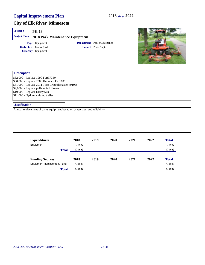#### **City of Elk River, Minnesota**

#### **Project # PK-18**

| <b>Type</b> Equipment         | <b>Department</b> Park Maintenance |
|-------------------------------|------------------------------------|
| <b>Useful Life</b> Unassigned | <b>Contact</b> Parks Supt.         |
| Category Equipment            |                                    |



#### **Description**

\$32,000 - Replace 1990 Ford F350 \$30,000 - Replace 2008 Kubota RTV 1100 \$81,000 - Replace 2011 Toro Groundsmaster 4010D \$9,000 - Replace pull-behind blower \$10,000 - Replace harley rake \$11,000 - Hydraulic dump trailer

#### **Justification**

| <b>Expenditures</b>        | 2018    | 2019 | 2020 | 2021 | 2022 | <b>Total</b> |
|----------------------------|---------|------|------|------|------|--------------|
| Equipment                  | 173.000 |      |      |      |      | 173,000      |
| <b>Total</b>               | 173,000 |      |      |      |      | 173,000      |
|                            |         |      |      |      |      |              |
| <b>Funding Sources</b>     | 2018    | 2019 | 2020 | 2021 | 2022 | <b>Total</b> |
| Equipment Replacement Fund | 173.000 |      |      |      |      | 173,000      |
| <b>Total</b>               | 173,000 |      |      |      |      | 173,000      |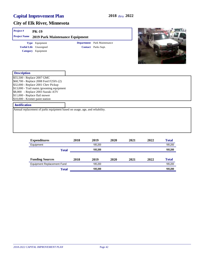#### **City of Elk River, Minnesota**

#### **Project # PK-19**

**Useful Life** Unassigned **Project Name 2019 Park Maintenance Equipment Category** Equipment **Type** Equipment

**Contact** Parks Supt. **Department** Park Maintenance



| <b>Description</b>                                                          |  |
|-----------------------------------------------------------------------------|--|
| \$55,500 - Replace 2007 GMC                                                 |  |
| \$68,700 - Replace 2008 Ford F250's (2)                                     |  |
| \$32,000 - Replace 2001 Chev Pickup                                         |  |
| \$13,000 - Trail maint./grooming equipment                                  |  |
| \$8,000 - Replace 2003 Suzuki ATV                                           |  |
| \$11,000 - Replace flail mower                                              |  |
| \$10,000 - Kromer paint station                                             |  |
| <b>Justification</b>                                                        |  |
| Annual replacement of parks equipment based on usage, age, and reliability. |  |

| <b>Expenditures</b>               |              | 2018 | 2019    | 2020 | 2021 | 2022 | <b>Total</b> |
|-----------------------------------|--------------|------|---------|------|------|------|--------------|
| Equipment                         |              |      | 185.200 |      |      |      | 185.200      |
|                                   | <b>Total</b> |      | 185.200 |      |      |      | 185,200      |
| <b>Funding Sources</b>            |              | 2018 | 2019    | 2020 | 2021 | 2022 | <b>Total</b> |
| <b>Equipment Replacement Fund</b> |              |      | 185.200 |      |      |      | 185,200      |
|                                   | <b>Total</b> |      | 185.200 |      |      |      | 185,200      |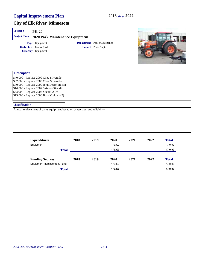#### **City of Elk River, Minnesota**

#### **Project # PK-20 Project Name 2020 Park Maintenance Equipment Type** Equipment

**Useful Life** Unassigned **Category** Equipment

**Contact** Parks Supt. **Department** Park Maintenance



| <b>Description</b>                           |  |
|----------------------------------------------|--|
| \$40,000 - Replace 2009 Chev Silverado       |  |
| \$32,000 - Replace 2005 Chev Silverado       |  |
| \$70,000 - Replace 2009 John Deere Tractor   |  |
| \$14,000 - Replace 2002 Ski-doo Skandic      |  |
| \$8,000 - Replace 2003 Suzuki ATV            |  |
| $\$\$ 15,000 - Replace 2008 Boss V plows (2) |  |
|                                              |  |
| <b>Justification</b>                         |  |

| <b>Expenditures</b>               | 2018         | 2019    | 2020    | 2021 | 2022 | <b>Total</b> |
|-----------------------------------|--------------|---------|---------|------|------|--------------|
| Equipment                         |              |         | 179.000 |      |      | 179,000      |
|                                   | <b>Total</b> |         | 179.000 |      |      | 179,000      |
| <b>Funding Sources</b>            | 2018         | 2019    | 2020    | 2021 | 2022 | <b>Total</b> |
| <b>Equipment Replacement Fund</b> |              | 179.000 |         |      |      | 179,000      |
|                                   | <b>Total</b> |         | 179,000 |      |      | 179,000      |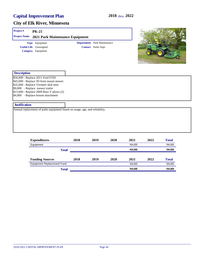#### **City of Elk River, Minnesota**

#### **Project # PK-21 Project Name 2021 Park Maintenance Equipment Type** Equipment

**Useful Life** Unassigned **Category** Equipment

**Contact** Parks Supt. **Department** Park Maintenance



| <b>Description</b>                       |  |
|------------------------------------------|--|
| \$56,000 - Replace 2011 Ford F550        |  |
| \$45,000 - Replace JD front mount mower  |  |
| \$35,000 - Replace Vermeer skid steer    |  |
| \$9,000 - Replace mower trailer          |  |
| \$15,000 - Replace 2009 Boss V plows (2) |  |
| \$4,000 - Replace broom attachment       |  |
|                                          |  |
| <b>Justification</b>                     |  |

| <b>Expenditures</b>        |              | 2018 | 2019 | 2020 | 2021    | 2022 | <b>Total</b> |
|----------------------------|--------------|------|------|------|---------|------|--------------|
| Equipment                  |              |      |      |      | 164.000 |      | 164,000      |
|                            | <b>Total</b> |      |      |      | 164.000 |      | 164,000      |
| <b>Funding Sources</b>     |              | 2018 | 2019 | 2020 | 2021    | 2022 | <b>Total</b> |
| Equipment Replacement Fund |              |      |      |      | 164.000 |      | 164,000      |
|                            | <b>Total</b> |      |      |      | 164.000 |      | 164,000      |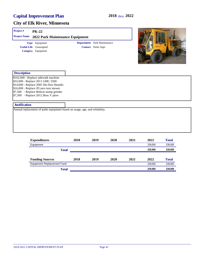#### **City of Elk River, Minnesota**

#### **Description** \$162,000 - Replace sidewalk machine \$32,000 - Replace 2011 GMC 2500 **Project # PK-22 Useful Life** Unassigned **Project Name 2022 Park Maintenance Equipment Category** Equipment **Type** Equipment **Contact** Parks Supt. **Department** Park Maintenance

\$14,000 - Replace 2005 Ski-Doo Skandic \$16,000 - Replace JD zero turn mower \$7,500 - Replace Bobcat stump grinder

\$7,500 - Replace 2012 Boss V plow

#### **Justification**

| <b>Expenditures</b>               | 2018         | 2019 | 2020 | 2021 | 2022    | <b>Total</b> |
|-----------------------------------|--------------|------|------|------|---------|--------------|
| Equipment                         |              |      |      |      | 239.000 | 239,000      |
|                                   | <b>Total</b> |      |      |      | 239.000 | 239,000      |
| <b>Funding Sources</b>            | 2018         | 2019 | 2020 | 2021 | 2022    | <b>Total</b> |
| <b>Equipment Replacement Fund</b> |              |      |      |      | 239.000 | 239,000      |
|                                   | <b>Total</b> |      |      |      | 239,000 | 239,000      |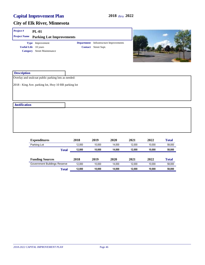#### **City of Elk River, Minnesota**

#### **Project # PL-01 Useful Life** 10 years **Project Name Parking Lot Improvements Category** Street Maintenance **Type** Improvement **Contact** Street Supt. **Department** Infrastructure Improvements



| <b>Expenditures</b>          | 2018   | 2019   | 2020   | 2021   | 2022   | <b>Total</b> |
|------------------------------|--------|--------|--------|--------|--------|--------------|
| Parking Lot                  | 12.000 | 10.000 | 14.000 | 12.000 | 10.000 | 58.000       |
| Total                        | 12.000 | 10.000 | 14.000 | 12.000 | 10.000 | 58,000       |
| <b>Funding Sources</b>       | 2018   | 2019   | 2020   | 2021   | 2022   | <b>Total</b> |
| Government Buildings Reserve | 12.000 | 10.000 | 14.000 | 12.000 | 10.000 | 58,000       |
| Total                        | 12.000 | 10.000 | 14.000 | 12.000 | 10.000 | 58,000       |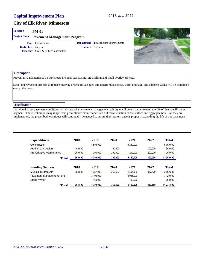#### **City of Elk River, Minnesota**

#### **Project # PM-01**

|                         | <b>Project Name Pavement Management Program</b> |  |
|-------------------------|-------------------------------------------------|--|
| <b>Type</b> Improvement | <b>Department</b> Infras                        |  |

**Useful Life** 25 years **Category** Street & Utility Construction structure Improvements





#### **Description**

Preventative maintenance on our streets includes sealcoating, crackfilling and small overlay projects.

Street improvement projects to replace, overlay or rehabilitate aged and deteriorated streets, storm drainage, and adjacent walks will be completed every other year.

#### **Justification**

Individual street pavement conditions will dictate what pavement management technique will be utilized to extend the life of that specific street segment. These techniques may range from preventative maintenance to a full reconstruction of the surface and aggregate base. As they are implemented, the prescribed techniques will continually be gauged to assure their performance is proper in extending the life of our pavements.

| <b>Expenditures</b>             | 2018    | 2019      | 2020    | 2021      | 2022    | <b>Total</b> |
|---------------------------------|---------|-----------|---------|-----------|---------|--------------|
| Construction                    |         | 4.500.000 |         | 5.250.000 |         | 9.750.000    |
| <b>Preliminary Design</b>       | 100.000 |           | 100.000 |           | 100.000 | 300,000      |
| <b>Preventative Maintenance</b> | 200,000 | 200.000   | 200,000 | 200.000   | 200,000 | 1,000,000    |
| <b>Total</b>                    | 300.000 | 4.700.000 | 300.000 | 5,450,000 | 300.000 | 11,050,000   |
|                                 |         |           |         |           |         |              |
| <b>Funding Sources</b>          | 2018    | 2019      | 2020    | 2021      | 2022    | <b>Total</b> |
| <b>Municipal State Aid</b>      | 353.500 | 1.357.000 | 360.500 | 1.364.000 | 367.500 | 3.802.500    |
| Pavement Management Fund        |         | 3.193.000 |         | 3,936,000 |         | 7.129.000    |
| Storm Water                     |         | 150.000   |         | 150.000   |         | 300.000      |
| <b>Total</b>                    | 353,500 | 4,700,000 | 360,500 | 5,450,000 | 367.500 | 11.231.500   |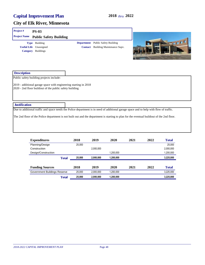| Project#                       | <b>PS-03</b>                                                                                                                |                   |                                                                            |                                                                                                                                            |
|--------------------------------|-----------------------------------------------------------------------------------------------------------------------------|-------------------|----------------------------------------------------------------------------|--------------------------------------------------------------------------------------------------------------------------------------------|
| <b>Project Name</b>            | <b>Public Safety Building</b>                                                                                               |                   |                                                                            |                                                                                                                                            |
| <b>Useful Life</b><br>Category | Type Building<br>Unassigned<br><b>Buildings</b>                                                                             | <b>Department</b> | <b>Public Safety Building</b><br><b>Contact</b> Building Maintenance Supv. | <b>Crit</b>                                                                                                                                |
| <b>Description</b>             |                                                                                                                             |                   |                                                                            |                                                                                                                                            |
|                                | Public safety building projects include:                                                                                    |                   |                                                                            |                                                                                                                                            |
|                                | 2019 - additional garage space with engineering starting in 2018<br>2020 - 2nd floor buildout of the public safety building |                   |                                                                            |                                                                                                                                            |
| <b>Justification</b>           |                                                                                                                             |                   |                                                                            |                                                                                                                                            |
|                                |                                                                                                                             |                   |                                                                            | Due to additional traffic and space needs the Police department is in need of additional garage space and to help with flow of traffic.    |
|                                |                                                                                                                             |                   |                                                                            | The 2nd floor of the Police department is not built out and the department is starting to plan for the eventual buildout of the 2nd floor. |

| <b>Expenditures</b>          | 2018   | 2019      | 2020      | 2021 | 2022 | <b>Total</b> |
|------------------------------|--------|-----------|-----------|------|------|--------------|
| Planning/Design              | 25,000 |           |           |      |      | 25.000       |
| Construction                 |        | 2.000.000 |           |      |      | 2,000,000    |
| Design/Construction          |        |           | 1.200.000 |      |      | 1,200,000    |
| <b>Total</b>                 | 25,000 | 2,000,000 | 1,200,000 |      |      | 3,225,000    |
| <b>Funding Sources</b>       | 2018   | 2019      | 2020      | 2021 | 2022 | <b>Total</b> |
| Government Buildings Reserve | 25,000 | 2,000,000 | 1,200,000 |      |      | 3,225,000    |
| <b>Total</b>                 | 25,000 | 2,000,000 | 1,200,000 |      |      | 3,225,000    |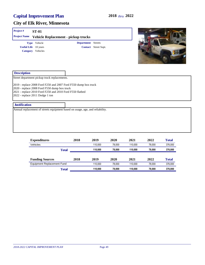| Project#             | <b>ST-01</b>                                                                    |                                                                                                                             |                      |  |
|----------------------|---------------------------------------------------------------------------------|-----------------------------------------------------------------------------------------------------------------------------|----------------------|--|
| <b>Project Name</b>  |                                                                                 | Vehicle Replacement - pickup trucks                                                                                         |                      |  |
|                      | Type Vehicle                                                                    | <b>Department</b> Streets                                                                                                   |                      |  |
|                      | <b>Useful Life</b> 10 years                                                     |                                                                                                                             | Contact Street Supt. |  |
|                      | Category Vehicles                                                               |                                                                                                                             |                      |  |
| <b>Description</b>   |                                                                                 |                                                                                                                             |                      |  |
|                      | Street department pickup truck replacements.                                    |                                                                                                                             |                      |  |
|                      | 2020 - replace 2008 Ford F550 dump box truck<br>2022 - replace 2011 Dodge 1 ton | 2019 - replace 2008 Ford F250 and 2007 Ford F550 dump box truck<br>2021 - replace 2010 Ford F250 and 2010 Ford F550 flatbed |                      |  |
| <b>Justification</b> |                                                                                 |                                                                                                                             |                      |  |
|                      |                                                                                 | Annual replacement of streets equipment based on usage, age, and reliability.                                               |                      |  |
|                      |                                                                                 |                                                                                                                             |                      |  |
|                      |                                                                                 |                                                                                                                             |                      |  |
|                      |                                                                                 |                                                                                                                             |                      |  |
|                      |                                                                                 |                                                                                                                             |                      |  |

| <b>Expenditures</b>        | 2018         | 2019    | 2020   | 2021    | 2022   | <b>Total</b> |
|----------------------------|--------------|---------|--------|---------|--------|--------------|
| Vehicles                   |              | 110.000 | 78.000 | 110.000 | 78.000 | 376,000      |
|                            | <b>Total</b> | 110.000 | 78.000 | 110.000 | 78.000 | 376,000      |
| <b>Funding Sources</b>     | 2018         | 2019    | 2020   | 2021    | 2022   | <b>Total</b> |
| Equipment Replacement Fund |              | 110.000 | 78.000 | 110.000 | 78.000 | 376,000      |
|                            | Total        | 110.000 | 78.000 | 110.000 | 78.000 | 376,000      |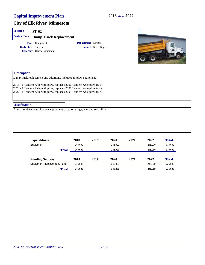#### **City of Elk River, Minnesota**

# **Description** Dump truck replacement and additions. Includes all plow equipment. 2018 - 1 Tandem Axle with plow, replaces 2000 Tandem Axle plow truck 2020 - 1 Tandem Axle with plow, replaces 2001 Tandem Axle plow truck 2022 - 1 Tandem Axle with plow, replaces 2003 Tandem Axle plow truck **Project # ST-02 Justification** Annual replacement of streets equipment based on usage, age, and reliability. **Useful Life** 15 years **Project Name Dump Truck Replacement Category** Heavy Equipment **Type** Equipment **Contact** Street Supt. **Department** Streets

| <b>Expenditures</b>        | 2018    | 2019 | 2020    | 2021 | 2022    | <b>Total</b> |
|----------------------------|---------|------|---------|------|---------|--------------|
| Equipment                  | 245.000 |      | 245.000 |      | 245.000 | 735,000      |
| <b>Total</b>               | 245,000 |      | 245.000 |      | 245.000 | 735,000      |
| <b>Funding Sources</b>     | 2018    | 2019 | 2020    | 2021 | 2022    | <b>Total</b> |
| Equipment Replacement Fund | 245.000 |      | 245.000 |      | 245.000 | 735,000      |
| <b>Total</b>               | 245.000 |      | 245.000 |      | 245.000 | 735,000      |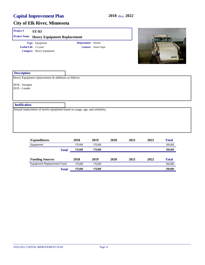| Project#                        | <b>ST-03</b>                                                                  |                           |                      |      |      |      |                     |
|---------------------------------|-------------------------------------------------------------------------------|---------------------------|----------------------|------|------|------|---------------------|
| <b>Project Name</b>             | <b>Heavy Equipment Replacement</b>                                            |                           |                      |      |      |      |                     |
|                                 | Type Equipment<br><b>Useful Life</b> 15 years<br>Category Heavy Equipment     | <b>Department</b> Streets | Contact Street Supt. |      |      |      | <b>ELCAP</b><br>nne |
| <b>Description</b>              | Heavy Equipment replacements & additions as follows:                          |                           |                      |      |      |      |                     |
| 2018 - Sweeper<br>2019 - Loader |                                                                               |                           |                      |      |      |      |                     |
| <b>Justification</b>            |                                                                               |                           |                      |      |      |      |                     |
|                                 | Annual replacement of streets equipment based on usage, age, and reliability. |                           |                      |      |      |      |                     |
|                                 | Expenditures                                                                  | 2018                      | 2019                 | 2020 | 2021 | 2022 | Total               |

| <b>Expenditures</b>        | 2018    | 2019    | 2020 | 2021 | 2022 | <b>Total</b> |
|----------------------------|---------|---------|------|------|------|--------------|
| Equipment                  | 175.000 | 175.000 |      |      |      | 350,000      |
| Total                      | 175,000 | 175.000 |      |      |      | 350,000      |
| <b>Funding Sources</b>     | 2018    | 2019    | 2020 | 2021 | 2022 | <b>Total</b> |
| Equipment Replacement Fund | 175.000 | 175.000 |      |      |      | 350,000      |
| Total                      | 175.000 | 175,000 |      |      |      | 350,000      |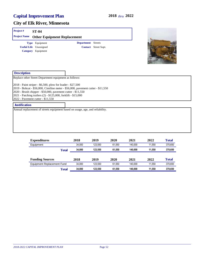| Project#            | <b>ST-04</b>                  |                                    |                      |  |
|---------------------|-------------------------------|------------------------------------|----------------------|--|
| <b>Project Name</b> |                               | <b>Other Equipment Replacement</b> |                      |  |
|                     | Type Equipment                | <b>Department</b> Streets          |                      |  |
|                     | <b>Useful Life</b> Unassigned |                                    | Contact Street Supt. |  |
|                     | Category Equipment            |                                    |                      |  |

| <b>Description</b>                                                                                                                                                                                                                                                                                                 |  |
|--------------------------------------------------------------------------------------------------------------------------------------------------------------------------------------------------------------------------------------------------------------------------------------------------------------------|--|
| Replace other Street Department equipment as follows:                                                                                                                                                                                                                                                              |  |
| 2018 - Paint striper - \$6,500, plow for loader - \$27,500<br>2019 - Bobcat - \$56,000, Cimiline meter - \$56,000, pavement cutter - \$11,550<br>2020 - Brush chipper - \$50,000, pavement cutter - \$11,550<br>2021 - Patching trailers (2) - \$125,000, forklift - \$15,000<br>2022 - Pavement cutter - \$11,550 |  |
| <b>Justification</b>                                                                                                                                                                                                                                                                                               |  |
| Annual replacement of streets equipment based on usage, age, and reliability.                                                                                                                                                                                                                                      |  |

| <b>Expenditures</b>               |              | 2018   | 2019    | 2020   | 2021    | 2022   | <b>Total</b> |
|-----------------------------------|--------------|--------|---------|--------|---------|--------|--------------|
| Equipment                         |              | 34.000 | 123.550 | 61.550 | 140.000 | 11.550 | 370,650      |
|                                   | <b>Total</b> | 34.000 | 123.550 | 61.550 | 140.000 | 11.550 | 370,650      |
| <b>Funding Sources</b>            |              | 2018   | 2019    | 2020   | 2021    | 2022   | <b>Total</b> |
| <b>Equipment Replacement Fund</b> |              | 34.000 | 123.550 | 61.550 | 140.000 | 11.550 | 370,650      |
|                                   | <b>Total</b> | 34.000 | 123.550 | 61.550 | 140.000 | 11.550 | 370,650      |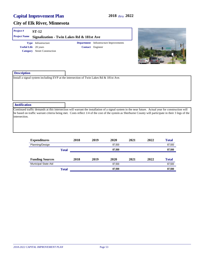#### **City of Elk River, Minnesota**

#### **Project # ST-12**

**Project Name Signalization - Twin Lakes Rd & 181st Ave Type** Infrastructure

**Useful Life** 20 years **Category** Street Construction

**Contact** Engineer **Department** Infrastructure Improvements



| <b>Description</b>   |                                                                                                                                                                                                                                                                                                                  |
|----------------------|------------------------------------------------------------------------------------------------------------------------------------------------------------------------------------------------------------------------------------------------------------------------------------------------------------------|
|                      | Install a signal system including EVP at the intersection of Twin Lakes Rd & 181st Ave.                                                                                                                                                                                                                          |
|                      |                                                                                                                                                                                                                                                                                                                  |
|                      |                                                                                                                                                                                                                                                                                                                  |
|                      |                                                                                                                                                                                                                                                                                                                  |
|                      |                                                                                                                                                                                                                                                                                                                  |
|                      |                                                                                                                                                                                                                                                                                                                  |
| <b>Justification</b> |                                                                                                                                                                                                                                                                                                                  |
|                      | Continued traffic demands at this intersection will warrant the installation of a signal system in the near future. Actual year for construction will<br>be based on traffic warrant criteria being met. Costs reflect 1/4 of the cost of the system as Sherburne County will participate in their 3 legs of the |
| intersection.        |                                                                                                                                                                                                                                                                                                                  |
|                      |                                                                                                                                                                                                                                                                                                                  |
|                      |                                                                                                                                                                                                                                                                                                                  |
|                      |                                                                                                                                                                                                                                                                                                                  |

| <b>Expenditures</b>        |              | 2018 | 2019 | 2020   | 2021 | 2022 | <b>Total</b> |
|----------------------------|--------------|------|------|--------|------|------|--------------|
| Planning/Design            |              |      |      | 87,500 |      |      | 87,500       |
|                            | <b>Total</b> |      |      | 87,500 |      |      | 87,500       |
|                            |              |      |      |        |      |      |              |
| <b>Funding Sources</b>     |              | 2018 | 2019 | 2020   | 2021 | 2022 | <b>Total</b> |
| <b>Municipal State Aid</b> |              |      |      | 87.500 |      |      | 87,500       |
|                            | <b>Total</b> |      |      | 87,500 |      |      | 87,500       |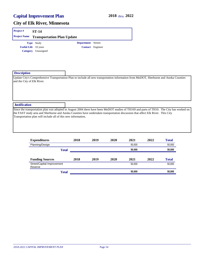#### **City of Elk River, Minnesota**

| Project#                   | <b>ST-14</b>                                                                                                                                                                                                                                                                                                                                  |                           |                  |      |        |      |              |  |
|----------------------------|-----------------------------------------------------------------------------------------------------------------------------------------------------------------------------------------------------------------------------------------------------------------------------------------------------------------------------------------------|---------------------------|------------------|------|--------|------|--------------|--|
| <b>Project Name</b>        | <b>Transportation Plan Update</b>                                                                                                                                                                                                                                                                                                             |                           |                  |      |        |      |              |  |
|                            | Type Study<br><b>Useful Life</b> 10 years<br>Category Unassigned                                                                                                                                                                                                                                                                              | <b>Department</b> Streets | Contact Engineer |      |        |      |              |  |
| <b>Description</b>         |                                                                                                                                                                                                                                                                                                                                               |                           |                  |      |        |      |              |  |
| and the City of Elk River. | Update City's Comprehensive Transportation Plan to include all new transportation information from MnDOT, Sherburne and Anoka Counties                                                                                                                                                                                                        |                           |                  |      |        |      |              |  |
| <b>Justification</b>       |                                                                                                                                                                                                                                                                                                                                               |                           |                  |      |        |      |              |  |
|                            | Since the transportation plan was adopted in August 2004 there have been MnDOT studies of TH169 and parts of TH10. The City has worked on<br>the FAST study area and Sherburne and Anoka Counties have undertaken transportation discussion that affect Elk River. This City<br>Transportation plan will include all of this new information. |                           |                  |      |        |      |              |  |
|                            | <b>Expenditures</b>                                                                                                                                                                                                                                                                                                                           | 2018                      | 2019             | 2020 | 2021   | 2022 | <b>Total</b> |  |
|                            | Planning/Design                                                                                                                                                                                                                                                                                                                               |                           |                  |      | 50,000 |      | 50,000       |  |
|                            | <b>Total</b>                                                                                                                                                                                                                                                                                                                                  |                           |                  |      | 50,000 |      | 50,000       |  |
|                            | <b>Funding Sources</b>                                                                                                                                                                                                                                                                                                                        | 2018                      | 2019             | 2020 | 2021   | 2022 | <b>Total</b> |  |
|                            | Street/Capital Improvement<br>Reserve                                                                                                                                                                                                                                                                                                         |                           |                  |      | 50,000 |      | 50,000       |  |

**Total 50,000 50,000**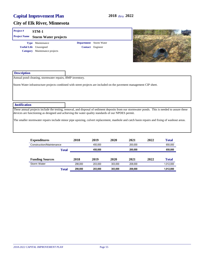#### **City of Elk River, Minnesota**

| <b>Project</b> # | $STM-1$                                  |                               |  |
|------------------|------------------------------------------|-------------------------------|--|
|                  | <b>Project Name Storm Water projects</b> |                               |  |
|                  | <b>Type</b> Maintenance                  | <b>Department</b> Storm Water |  |
|                  | <b>Useful Life</b> Unassigned            | <b>Contact</b> Engineer       |  |
|                  | Category Maintenance projects            |                               |  |

| <b>Description</b>                                       |  |
|----------------------------------------------------------|--|
| Annual pond cleaning, stormwater repairs, BMP inventory. |  |

Storm Water infrastructure projects combined with street projects are included on the pavement management CIP sheet.

 **Justification**

These annual projects include the testing, removal, and disposal of sediment deposits from our stormwater ponds. This is needed to assure these devices are functioning as designed and achieving the water quality standards of our NPDES permit.

The smaller stormwater repairs include minor pipe upsizing, culvert replacement, manhole and catch basin repairs and fixing of washout areas.

| <b>Expenditures</b>      |       | 2018    | 2019    | 2020    | 2021    | 2022 | <b>Total</b> |
|--------------------------|-------|---------|---------|---------|---------|------|--------------|
| Construction/Maintenance |       |         | 450.000 |         | 200.000 |      | 650,000      |
|                          | Total |         | 450.000 |         | 200.000 |      | 650,000      |
| <b>Funding Sources</b>   |       | 2018    | 2019    | 2020    | 2021    | 2022 | <b>Total</b> |
| Storm Water              |       | 298.000 | 203.000 | 303.000 | 208,000 |      | 1,012,000    |
|                          | Total | 298,000 | 203.000 | 303,000 | 208.000 |      | 1,012,000    |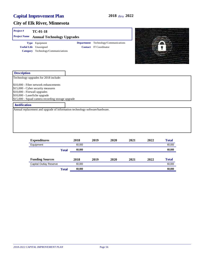| Project#                                                      | $TC-01-18$                                                                                                                       |                   |                               |                           |      |      |              |  |
|---------------------------------------------------------------|----------------------------------------------------------------------------------------------------------------------------------|-------------------|-------------------------------|---------------------------|------|------|--------------|--|
| <b>Project Name</b>                                           | <b>Annual Technology Upgrades</b>                                                                                                |                   |                               |                           |      |      |              |  |
| <b>Category</b>                                               | Type Equipment<br><b>Useful Life</b> Unassigned<br>Technology/Communiciations                                                    | <b>Department</b> | <b>Contact</b> IT Coordinator | Technology/Communications |      |      |              |  |
| <b>Description</b>                                            |                                                                                                                                  |                   |                               |                           |      |      |              |  |
|                                                               | Technology upgrades for 2018 include:                                                                                            |                   |                               |                           |      |      |              |  |
| \$10,000 - Firewall upgrades<br>\$10,000 - Laserfiche upgrade | \$10,000 - Fiber network enhancements<br>\$15,000 - Cyber security measures<br>\$15,000 - Squad camera recording storage upgrade |                   |                               |                           |      |      |              |  |
| <b>Justification</b>                                          |                                                                                                                                  |                   |                               |                           |      |      |              |  |
|                                                               | Annual replacement and upgrade of information technology software/hardware.                                                      |                   |                               |                           |      |      |              |  |
|                                                               | <b>Expenditures</b>                                                                                                              | 2018              | 2019                          | 2020                      | 2021 | 2022 | <b>Total</b> |  |

| <b>Expension</b> to           |              | - - -  | ---- | ----- | ---- | ---- | a v um       |
|-------------------------------|--------------|--------|------|-------|------|------|--------------|
| Equipment                     |              | 60.000 |      |       |      |      | 60,000       |
|                               | <b>Total</b> | 60,000 |      |       |      |      | 60,000       |
| <b>Funding Sources</b>        |              | 2018   | 2019 | 2020  | 2021 | 2022 | <b>Total</b> |
| <b>Capital Outlay Reserve</b> |              | 60.000 |      |       |      |      | 60,000       |
|                               | <b>Total</b> | 60.000 |      |       |      |      | 60,000       |
|                               |              |        |      |       |      |      |              |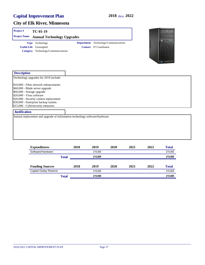#### **City of Elk River, Minnesota**

| <b>Project</b> #<br><b>Project Name</b> | TC-01-19<br><b>Annual Technology Upgrades</b> |                                             |
|-----------------------------------------|-----------------------------------------------|---------------------------------------------|
|                                         | <b>Type</b> Technology                        | <b>Department</b> Technology/Communications |
|                                         | <b>Useful Life</b> Unassigned                 | <b>Contact</b> IT Coordinator               |
| <b>Category</b>                         | Technology/Communiciations                    |                                             |



| <b>Description</b>                     |  |
|----------------------------------------|--|
| Technology upgrades for 2019 include:  |  |
| \$10,000 - Fiber network enhancements  |  |
| \$60,000 - Blade server upgrade        |  |
| \$60,000 - Storage upgrade             |  |
| \$20,000 - Virus software              |  |
| \$20,000 - Security camera replacement |  |
| \$30,000 - Enterprise backup system    |  |
| \$15,000 - Cybersecurity measures      |  |
| <b>Justification</b>                   |  |

Annual replacement and upgrade of information technology software/hardware.

| <b>Expenditures</b>           |              | 2018 | 2019    | 2020 | 2021 | 2022 | <b>Total</b> |
|-------------------------------|--------------|------|---------|------|------|------|--------------|
| Software/Hardware             |              |      | 215.000 |      |      |      | 215,000      |
|                               | <b>Total</b> |      | 215,000 |      |      |      | 215,000      |
| <b>Funding Sources</b>        |              | 2018 | 2019    | 2020 | 2021 | 2022 | <b>Total</b> |
| <b>Capital Outlay Reserve</b> |              |      | 215.000 |      |      |      | 215,000      |
|                               | <b>Total</b> |      | 215,000 |      |      |      | 215,000      |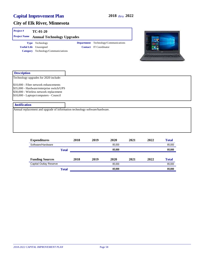**WARNIERS** 

#### **City of Elk River, Minnesota**

| Project#            | $TC-01-20$                          |                                             |  |
|---------------------|-------------------------------------|---------------------------------------------|--|
| <b>Project Name</b> | <b>Annual Technology Upgrades</b>   |                                             |  |
|                     | <b>Type</b> Technology              | <b>Department</b> Technology/Communications |  |
|                     | <b>Useful Life</b> Unassigned       | <b>Contact</b> IT Coordinator               |  |
|                     | Category Technology/Communiciations |                                             |  |

| <b>Description</b>                                                                                                                                                      |  |
|-------------------------------------------------------------------------------------------------------------------------------------------------------------------------|--|
| Technology upgrades for 2020 include:                                                                                                                                   |  |
| \$10,000 - Fiber network enhancements<br>\$35,000 - Hardware/enterprise switch/UPS<br>\$30,000 - Wireless network replacement<br>\$10,000 - Laptops/computers - Council |  |
| <b>Justification</b>                                                                                                                                                    |  |
|                                                                                                                                                                         |  |

Annual replacement and upgrade of information technology software/hardware.

| <b>Expenditures</b>           |              | 2018 | 2019 | 2020   | 2021 | 2022 | <b>Total</b> |
|-------------------------------|--------------|------|------|--------|------|------|--------------|
| Software/Hardware             |              |      |      | 85.000 |      |      | 85,000       |
|                               | <b>Total</b> |      |      | 85,000 |      |      | 85,000       |
| <b>Funding Sources</b>        |              | 2018 | 2019 | 2020   | 2021 | 2022 | <b>Total</b> |
| <b>Capital Outlay Reserve</b> |              |      |      | 85.000 |      |      | 85,000       |
|                               | <b>Total</b> |      |      | 85,000 |      |      | 85,000       |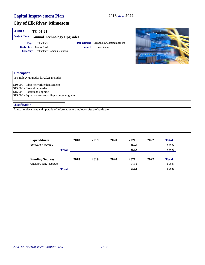#### **City of Elk River, Minnesota**

| Project#                                                                              | $TC-01-21$                                                                              |                   |                               |                           |        |              |              |
|---------------------------------------------------------------------------------------|-----------------------------------------------------------------------------------------|-------------------|-------------------------------|---------------------------|--------|--------------|--------------|
| <b>Project Name</b>                                                                   | <b>Annual Technology Upgrades</b>                                                       |                   |                               |                           |        |              |              |
|                                                                                       | Type Technology<br><b>Useful Life</b> Unassigned<br>Category Technology/Communiciations | <b>Department</b> | <b>Contact</b> IT Coordinator | Technology/Communications | œ      | <b>LEGAL</b> |              |
| <b>Description</b>                                                                    |                                                                                         |                   |                               |                           |        |              |              |
|                                                                                       | Technology upgrades for 2021 include:                                                   |                   |                               |                           |        |              |              |
| \$15,000 - Firewall upgrades<br>\$15,000 - Laserfiche upgrade<br><b>Justification</b> | \$15,000 - Squad camera recording storage upgrade                                       |                   |                               |                           |        |              |              |
|                                                                                       | Annual replacement and upgrade of information technology software/hardware.             |                   |                               |                           |        |              |              |
|                                                                                       |                                                                                         |                   |                               |                           |        |              |              |
|                                                                                       | <b>Expenditures</b>                                                                     | 2018              | 2019                          | 2020                      | 2021   | 2022         | <b>Total</b> |
|                                                                                       | Software/Hardware                                                                       |                   |                               |                           | 55,000 |              | 55,000       |
|                                                                                       | <b>Total</b>                                                                            |                   |                               |                           | 55,000 |              | 55,000       |
|                                                                                       | <b>Funding Sources</b>                                                                  | 2018              | 2019                          | 2020                      | 2021   | 2022         | <b>Total</b> |

Capital Outlay Reserve 55,000 55,000 55,000 55,000 55,000 55,000 55,000 55,000 55,000 55,000 55,000 55,000 55,000 55,000 55,000 55,000 55,000 55,000 55,000 55,000 55,000 55,000 55,000 55,000 55,000 55,000 55,000 55,000 55,

**Total 55,000 55,000**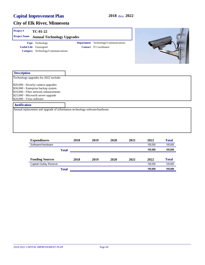| Project#                  | TC-01-22                                                                                                                                                   |      |                                                                       |      |      |         |              |
|---------------------------|------------------------------------------------------------------------------------------------------------------------------------------------------------|------|-----------------------------------------------------------------------|------|------|---------|--------------|
| <b>Project Name</b>       | <b>Annual Technology Upgrades</b>                                                                                                                          |      |                                                                       |      |      |         |              |
|                           | Type Technology<br><b>Useful Life</b> Unassigned<br>Category Technology/Communiciations                                                                    |      | Department Technology/Communications<br><b>Contact</b> IT Coordinator |      |      |         |              |
| <b>Description</b>        |                                                                                                                                                            |      |                                                                       |      |      |         |              |
|                           | Technology upgrades for 2022 include:                                                                                                                      |      |                                                                       |      |      |         |              |
| \$20,000 - Virus software | \$20,000 - Security camera upgrades<br>\$30,000 - Enterprise backup system<br>\$10,000 - Fiber network enhancements<br>\$25,000 - Microsoft server upgrade |      |                                                                       |      |      |         |              |
| <b>Justification</b>      |                                                                                                                                                            |      |                                                                       |      |      |         |              |
|                           | Annual replacement and upgrade of information technology software/hardware.                                                                                |      |                                                                       |      |      |         |              |
|                           | <b>Expenditures</b>                                                                                                                                        | 2018 | 2019                                                                  | 2020 | 2021 | 2022    | <b>Total</b> |
|                           | Software/Hardware                                                                                                                                          |      |                                                                       |      |      | 105,000 | 105,000      |
|                           | <b>Total</b>                                                                                                                                               |      |                                                                       |      |      | 105,000 | 105,000      |
|                           |                                                                                                                                                            |      |                                                                       |      |      |         |              |

| <b>Funding Sources</b> | 2018  | 2019 | 2020 | 2021 | 2022    | Total   |
|------------------------|-------|------|------|------|---------|---------|
| Capital Outlay Reserve |       |      |      |      | 105.000 | 105.000 |
|                        | Total |      |      |      | 105.000 | 105,000 |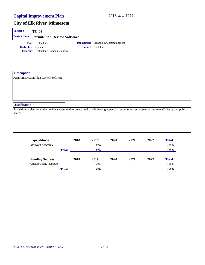| <b>Project</b> #           | <b>TC-03</b>                                    |  |                                             |  |  |  |  |  |
|----------------------------|-------------------------------------------------|--|---------------------------------------------|--|--|--|--|--|
|                            | <b>Project Name</b> Permit/Plan Review Software |  |                                             |  |  |  |  |  |
|                            | <b>Type</b> Technology                          |  | <b>Department</b> Technology/Communications |  |  |  |  |  |
| <b>Useful Life</b> 7 years |                                                 |  | <b>Contact</b> Fire Chief                   |  |  |  |  |  |
|                            | Category Technology/Communiciations             |  |                                             |  |  |  |  |  |

| <b>Description</b>                     |                                                                                                                                                 |
|----------------------------------------|-------------------------------------------------------------------------------------------------------------------------------------------------|
| Permit/Inspection/Plan Review Software |                                                                                                                                                 |
|                                        |                                                                                                                                                 |
|                                        |                                                                                                                                                 |
|                                        |                                                                                                                                                 |
|                                        |                                                                                                                                                 |
|                                        |                                                                                                                                                 |
|                                        |                                                                                                                                                 |
| <b>Justification</b>                   |                                                                                                                                                 |
|                                        | Transition to electronic plan review system with ultimate goal of eliminating paper plan submissions processes to improve efficiency and public |
| access.                                |                                                                                                                                                 |
|                                        |                                                                                                                                                 |
|                                        |                                                                                                                                                 |
|                                        |                                                                                                                                                 |
|                                        |                                                                                                                                                 |
|                                        |                                                                                                                                                 |
|                                        |                                                                                                                                                 |

| <b>Expenditures</b>           |              | 2018 | 2019   | 2020 | 2021 | 2022 | <b>Total</b> |
|-------------------------------|--------------|------|--------|------|------|------|--------------|
| Software/Hardware             |              |      | 75.000 |      |      |      | 75,000       |
|                               | <b>Total</b> |      | 75,000 |      |      |      | 75,000       |
| <b>Funding Sources</b>        |              | 2018 | 2019   | 2020 | 2021 | 2022 | <b>Total</b> |
| <b>Capital Outlay Reserve</b> |              |      | 75.000 |      |      |      | 75,000       |
|                               | <b>Total</b> |      | 75,000 |      |      |      | 75,000       |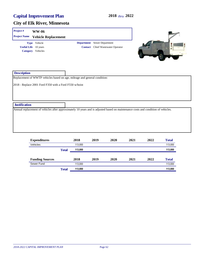| Project#             | <b>WW-06</b>                                                                                                                        |                   |                           |              |      |              |
|----------------------|-------------------------------------------------------------------------------------------------------------------------------------|-------------------|---------------------------|--------------|------|--------------|
| <b>Project Name</b>  | <b>Vehicle Replacement</b>                                                                                                          |                   |                           |              |      |              |
|                      | Type Vehicle                                                                                                                        | <b>Department</b> | Sewer Department          |              |      |              |
|                      | <b>Useful Life</b> 10 years                                                                                                         | <b>Contact</b>    | Chief Wastewater Operator |              |      | $\bullet$    |
|                      | Category Vehicles                                                                                                                   |                   |                           |              |      |              |
| <b>Description</b>   |                                                                                                                                     |                   |                           |              |      |              |
|                      | Replacement of WWTP vehicles based on age, mileage and general condition:<br>2018 - Replace 2001 Ford F350 with a Ford F550 w/hoist |                   |                           |              |      |              |
| <b>Justification</b> |                                                                                                                                     |                   |                           |              |      |              |
|                      | Annual replacement of vehicles after approximately 10 years and is adjusted based on maintenance costs and condition of vehicles.   |                   |                           |              |      |              |
|                      | <b>Expenditures</b>                                                                                                                 | 2018              | 2019                      | 2020<br>2021 | 2022 | <b>Total</b> |

| <b>Expenditures</b>    |              | 2018    | 2019 | 2020 | 2021 | 2022 | 1 otal       |
|------------------------|--------------|---------|------|------|------|------|--------------|
| Vehicles               |              | 113.000 |      |      |      |      | 113,000      |
|                        | <b>Total</b> | 113.000 |      |      |      |      | 113,000      |
| <b>Funding Sources</b> |              | 2018    | 2019 | 2020 | 2021 | 2022 | <b>Total</b> |
| Sewer Fund             |              | 113.000 |      |      |      |      | 113,000      |
|                        | <b>Total</b> | 113.000 |      |      |      |      | 113,000      |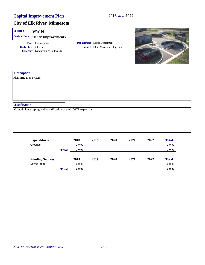| Project#<br><b>Project Name</b> | <b>WW-08</b><br><b>Other Improvements</b>                                          |      |                                                                                |      |      |       |
|---------------------------------|------------------------------------------------------------------------------------|------|--------------------------------------------------------------------------------|------|------|-------|
|                                 | Type Improvement<br><b>Useful Life</b> 20 years<br>Category Landscaping/Boulevards |      | <b>Department</b> Sewer Department<br><b>Contact</b> Chief Wastewater Operator |      |      |       |
| <b>Description</b>              |                                                                                    |      |                                                                                |      |      |       |
| Plant irrigation system         |                                                                                    |      |                                                                                |      |      |       |
| <b>Justification</b>            |                                                                                    |      |                                                                                |      |      |       |
|                                 | Maintain landscaping and beautification of the WWTP expansion                      |      |                                                                                |      |      |       |
|                                 | <b>Fynonditures</b>                                                                | 2018 | 2010<br>2020                                                                   | 2021 | 2022 | Total |

| <b>Expenditures</b>    |              | 2018   | 2019 | 2020 | 2021 | 2022 | <b>Total</b> |
|------------------------|--------------|--------|------|------|------|------|--------------|
| Grounds                |              | 20.000 |      |      |      |      | 20,000       |
|                        | <b>Total</b> | 20,000 |      |      |      |      | 20,000       |
|                        |              |        |      |      |      |      |              |
| <b>Funding Sources</b> |              | 2018   | 2019 | 2020 | 2021 | 2022 | <b>Total</b> |
| Sewer Fund             |              | 20.000 |      |      |      |      | 20,000       |
|                        | <b>Total</b> | 20,000 |      |      |      |      | 20,000       |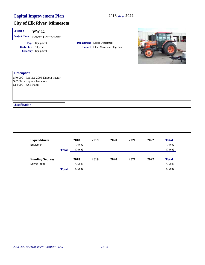| Project#                                             | <b>WW-12</b>                                                        |      |                                                                                |      |      |       |
|------------------------------------------------------|---------------------------------------------------------------------|------|--------------------------------------------------------------------------------|------|------|-------|
| <b>Project Name</b>                                  | <b>Sewer Equipment</b>                                              |      |                                                                                |      |      |       |
|                                                      | Type Equipment<br><b>Useful Life</b> 10 years<br>Category Equipment |      | <b>Department</b> Sewer Department<br><b>Contact</b> Chief Wastewater Operator |      |      |       |
| <b>Description</b>                                   |                                                                     |      |                                                                                |      |      |       |
| \$92,000 - Replace bar screen<br>\$14,000 - KSB Pump | \$70,000 - Replace 2005 Kubota tractor                              |      |                                                                                |      |      |       |
| <b>Justification</b>                                 |                                                                     |      |                                                                                |      |      |       |
|                                                      |                                                                     |      |                                                                                |      |      |       |
|                                                      | Expenditures                                                        | 2018 | 2019<br>2020                                                                   | 2021 | 2022 | Total |

| <b>Expenditures</b>    |              | 2018    | 2019 | 2020 | 2021 | 2022 | <b>Total</b> |
|------------------------|--------------|---------|------|------|------|------|--------------|
| Equipment              |              | 176.000 |      |      |      |      | 176,000      |
|                        | <b>Total</b> | 176.000 |      |      |      |      | 176,000      |
|                        |              |         |      |      |      |      |              |
| <b>Funding Sources</b> |              | 2018    | 2019 | 2020 | 2021 | 2022 | <b>Total</b> |
| Sewer Fund             |              | 176.000 |      |      |      |      | 176,000      |
|                        | <b>Total</b> | 176,000 |      |      |      |      | 176,000      |